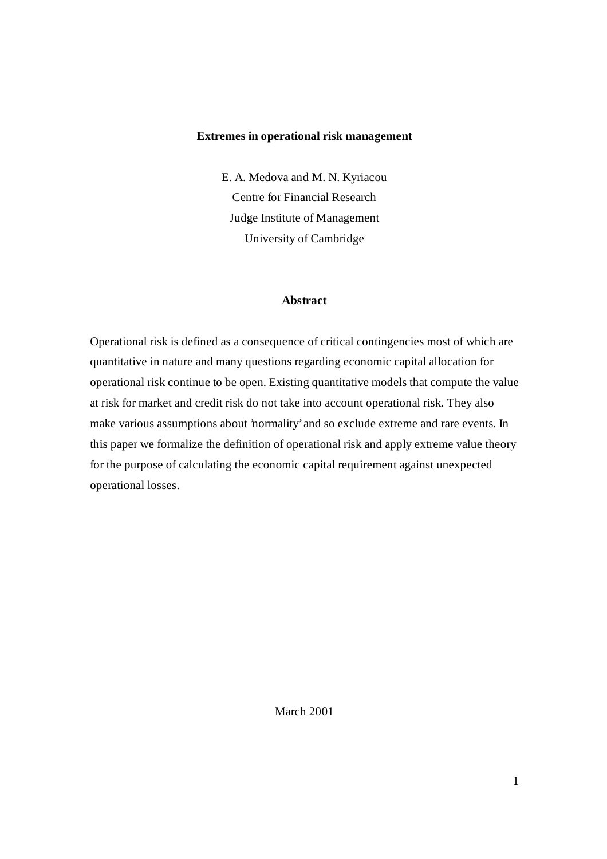# **Extremes in operational risk management**

E. A. Medova and M. N. Kyriacou Centre for Financial Research Judge Institute of Management University of Cambridge

# **Abstract**

Operational risk is defined as a consequence of critical contingencies most of which are quantitative in nature and many questions regarding economic capital allocation for operational risk continue to be open. Existing quantitative models that compute the value at risk for market and credit risk do not take into account operational risk. They also make various assumptions about 'normality'and so exclude extreme and rare events. In this paper we formalize the definition of operational risk and apply extreme value theory for the purpose of calculating the economic capital requirement against unexpected operational losses.

March 2001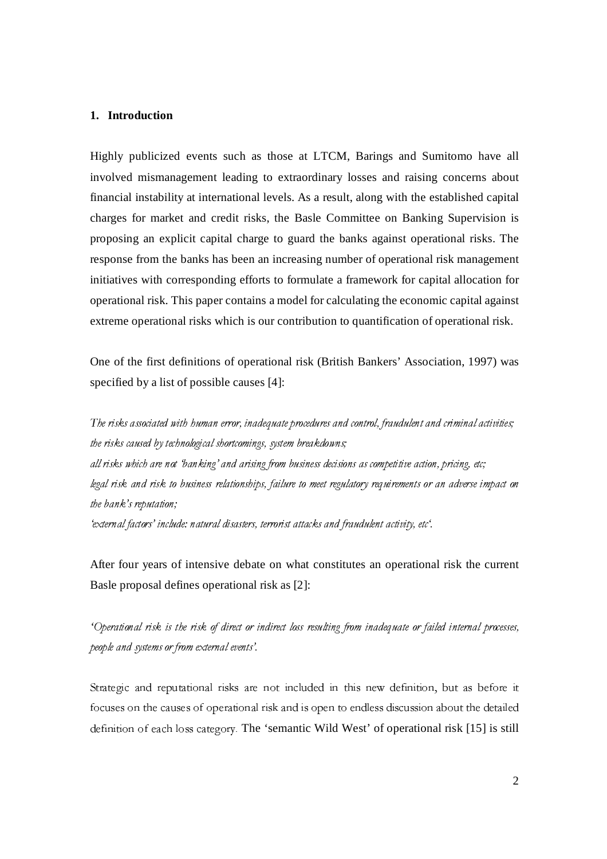# **1. Introduction**

Highly publicized events such as those at LTCM, Barings and Sumitomo have all involved mismanagement leading to extraordinary losses and raising concerns about financial instability at international levels. As a result, along with the established capital charges for market and credit risks, the Basle Committee on Banking Supervision is proposing an explicit capital charge to guard the banks against operational risks. The response from the banks has been an increasing number of operational risk management initiatives with corresponding efforts to formulate a framework for capital allocation for operational risk. This paper contains a model for calculating the economic capital against extreme operational risks which is our contribution to quantification of operational risk.

One of the first definitions of operational risk (British Bankers' Association, 1997) was specified by a list of possible causes [4]:

-  

"!#\$ 
\$\$%&'
%(
)
%
\* +

  - ,-.\$%/0
% )1/0 -2 3, \$ +  $\mathcal{A} = \mathcal{A} \cup \mathcal{A}$  , and a set of the set of the set of the set of the set of the set of the set of the set of the set of the set of the set of the set of the set of the set of the set of the set of the set of the se %/9
% :
; :<,4 %
\$ 4!2 1&'
%=)-/9%
-> ?\$?
;
\* -0!8
- , **1** - **1** - **1** - **1** - **1** - **1** - **1** - **1** - **1** - **1** - **1** - **1** - **1** - **1** - **1**  $\mathcal{L}$  , and the state of the state of the state of the state of the state of the state of the state of the state of the state of the state of the state of the state of the state of the state of the state of the state o

After four years of intensive debate on what constitutes an operational risk the current Basle proposal defines operational risk as [2]:

'Operational risk is the risk of direct or indirect loss resulting from inadequate or failed internal processes, !8!#%
 -2 ) \$1&'3@-%(\* 7D

 $\mathcal{A}$  is the state of  $\mathcal{A}$  and  $\mathcal{A}$  and  $\mathcal{A}$  and  $\mathcal{A}$  and  $\mathcal{A}$  and  $\mathcal{A}$  and  $\mathcal{A}$  and  $\mathcal{A}$  and  $\mathcal{A}$  and  $\mathcal{A}$  and  $\mathcal{A}$  and  $\mathcal{A}$  and  $\mathcal{A}$  and  $\mathcal{A}$  and  $\mathcal{A}$  and  $\mathcal{P}$  and a control of the control of the control of the control of the control of the control of the control of the control of the control of the control of the control of the control of the control of the control of definition of each loss category. The 'semantic Wild West' of operational risk [15] is still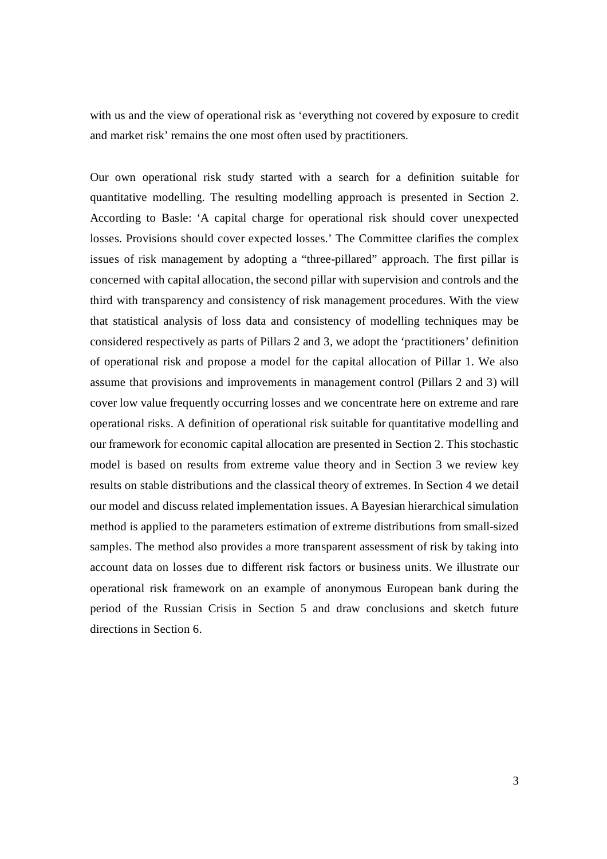with us and the view of operational risk as 'everything not covered by exposure to credit and market risk' remains the one most often used by practitioners.

Our own operational risk study started with a search for a definition suitable for quantitative modelling. The resulting modelling approach is presented in Section 2. According to Basle: 'A capital charge for operational risk should cover unexpected losses. Provisions should cover expected losses.' The Committee clarifies the complex issues of risk management by adopting a "three-pillared" approach. The first pillar is concerned with capital allocation, the second pillar with supervision and controls and the third with transparency and consistency of risk management procedures. With the view that statistical analysis of loss data and consistency of modelling techniques may be considered respectively as parts of Pillars 2 and 3, we adopt the 'practitioners' definition of operational risk and propose a model for the capital allocation of Pillar 1. We also assume that provisions and improvements in management control (Pillars 2 and 3) will cover low value frequently occurring losses and we concentrate here on extreme and rare operational risks. A definition of operational risk suitable for quantitative modelling and our framework for economic capital allocation are presented in Section 2. This stochastic model is based on results from extreme value theory and in Section 3 we review key results on stable distributions and the classical theory of extremes. In Section 4 we detail our model and discuss related implementation issues. A Bayesian hierarchical simulation method is applied to the parameters estimation of extreme distributions from small-sized samples. The method also provides a more transparent assessment of risk by taking into account data on losses due to different risk factors or business units. We illustrate our operational risk framework on an example of anonymous European bank during the period of the Russian Crisis in Section 5 and draw conclusions and sketch future directions in Section 6.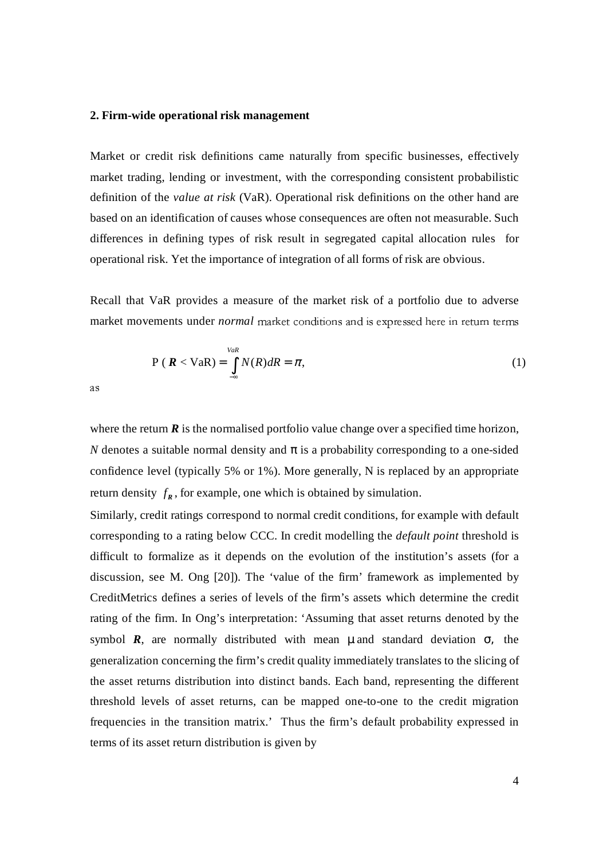#### **2. Firm-wide operational risk management**

Market or credit risk definitions came naturally from specific businesses, effectively market trading, lending or investment, with the corresponding consistent probabilistic definition of the *value at risk* (VaR). Operational risk definitions on the other hand are based on an identification of causes whose consequences are often not measurable. Such differences in defining types of risk result in segregated capital allocation rules for operational risk. Yet the importance of integration of all forms of risk are obvious.

Recall that VaR provides a measure of the market risk of a portfolio due to adverse market movements under *normal* market conditions and is expressed here in return terms

$$
P (R < VaR) = \int_{-\infty}^{VaR} N(R) dR = \pi,
$$
 (1)

as

where the return  $\vec{R}$  is the normalised portfolio value change over a specified time horizon, *N* denotes a suitable normal density and  $\pi$  is a probability corresponding to a one-sided confidence level (typically 5% or 1%). More generally, N is replaced by an appropriate return density  $f_{\bf R}$ , for example, one which is obtained by simulation.

Similarly, credit ratings correspond to normal credit conditions, for example with default corresponding to a rating below CCC. In credit modelling the *default point* threshold is difficult to formalize as it depends on the evolution of the institution's assets (for a discussion, see M. Ong [20]). The 'value of the firm' framework as implemented by CreditMetrics defines a series of levels of the firm's assets which determine the credit rating of the firm. In Ong's interpretation: 'Assuming that asset returns denoted by the symbol **R**, are normally distributed with mean  $\mu$  and standard deviation  $\sigma$ , the generalization concerning the firm's credit quality immediately translates to the slicing of the asset returns distribution into distinct bands. Each band, representing the different threshold levels of asset returns, can be mapped one-to-one to the credit migration frequencies in the transition matrix.' Thus the firm's default probability expressed in terms of its asset return distribution is given by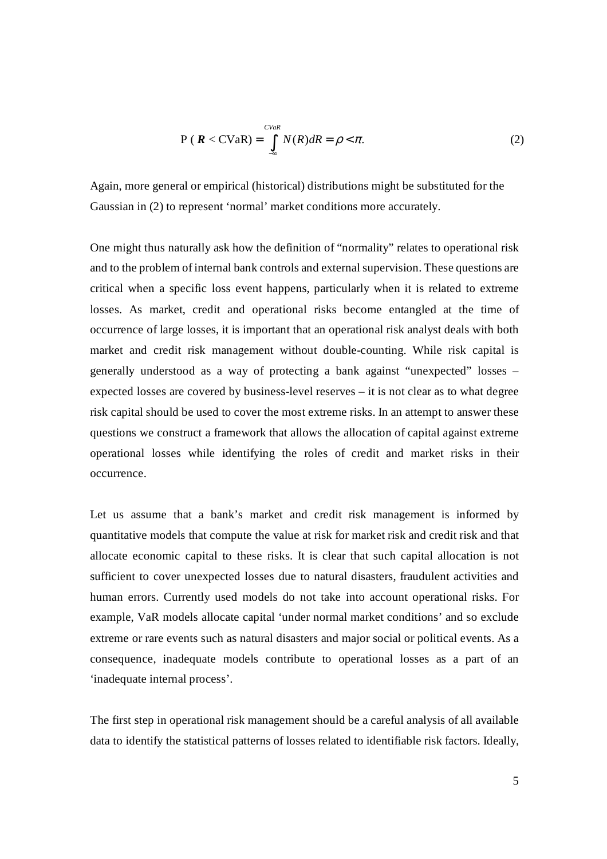$$
P (R < CVaR) = \int_{-\infty}^{CVaR} N(R) dR = \rho < \pi.
$$
 (2)

Again, more general or empirical (historical) distributions might be substituted for the Gaussian in (2) to represent 'normal' market conditions more accurately.

One might thus naturally ask how the definition of "normality" relates to operational risk and to the problem ofinternal bank controls and external supervision. These questions are critical when a specific loss event happens, particularly when it is related to extreme losses. As market, credit and operational risks become entangled at the time of occurrence of large losses, it is important that an operational risk analyst deals with both market and credit risk management without double-counting. While risk capital is generally understood as a way of protecting a bank against "unexpected" losses – expected losses are covered by business-level reserves – it is not clear as to what degree risk capital should be used to cover the most extreme risks. In an attempt to answer these questions we construct a framework that allows the allocation of capital against extreme operational losses while identifying the roles of credit and market risks in their occurrence.

Let us assume that a bank's market and credit risk management is informed by quantitative models that compute the value at risk for market risk and credit risk and that allocate economic capital to these risks. It is clear that such capital allocation is not sufficient to cover unexpected losses due to natural disasters, fraudulent activities and human errors. Currently used models do not take into account operational risks. For example, VaR models allocate capital 'under normal market conditions' and so exclude extreme or rare events such as natural disasters and major social or political events. As a consequence, inadequate models contribute to operational losses as a part of an 'inadequate internal process'.

The first step in operational risk management should be a careful analysis of all available data to identify the statistical patterns of losses related to identifiable risk factors. Ideally,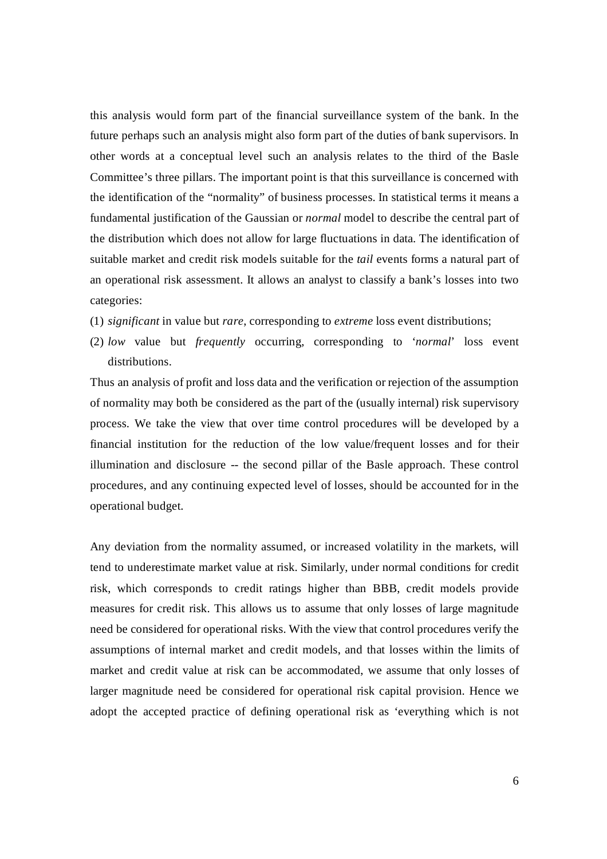this analysis would form part of the financial surveillance system of the bank. In the future perhaps such an analysis might also form part of the duties of bank supervisors. In other words at a conceptual level such an analysis relates to the third of the Basle Committee's three pillars. The important point is that this surveillance is concerned with the identification of the "normality" of business processes. In statistical terms it means a fundamental justification of the Gaussian or *normal* model to describe the central part of the distribution which does not allow for large fluctuations in data. The identification of suitable market and credit risk models suitable for the *tail* events forms a natural part of an operational risk assessment. It allows an analyst to classify a bank's losses into two categories:

- (1) *significant* in value but *rare*, corresponding to *extreme* loss event distributions;
- (2) *low* value but *frequently* occurring, corresponding to '*normal*' loss event distributions.

Thus an analysis of profit and loss data and the verification or rejection of the assumption of normality may both be considered as the part of the (usually internal) risk supervisory process. We take the view that over time control procedures will be developed by a financial institution for the reduction of the low value/frequent losses and for their illumination and disclosure -- the second pillar of the Basle approach. These control procedures, and any continuing expected level of losses, should be accounted for in the operational budget.

Any deviation from the normality assumed, or increased volatility in the markets, will tend to underestimate market value at risk. Similarly, under normal conditions for credit risk, which corresponds to credit ratings higher than BBB, credit models provide measures for credit risk. This allows us to assume that only losses of large magnitude need be considered for operational risks. With the view that control procedures verify the assumptions of internal market and credit models, and that losses within the limits of market and credit value at risk can be accommodated, we assume that only losses of larger magnitude need be considered for operational risk capital provision. Hence we adopt the accepted practice of defining operational risk as 'everything which is not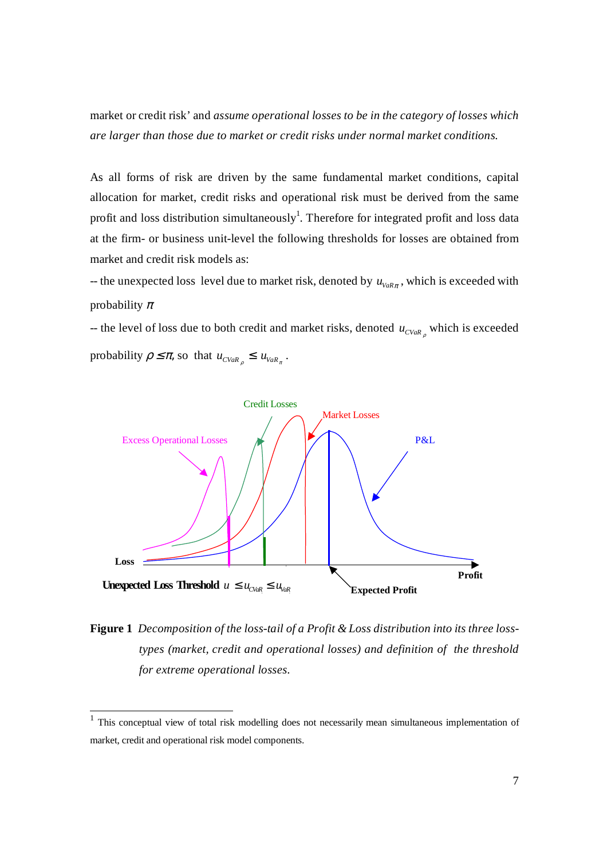market or credit risk' and *assume operational losses to be in the category of losses which are larger than those due to market or credit risks under normal market conditions.*

As all forms of risk are driven by the same fundamental market conditions, capital allocation for market, credit risks and operational risk must be derived from the same profit and loss distribution simultaneously<sup>1</sup>. Therefore for integrated profit and loss data at the firm- or business unit-level the following thresholds for losses are obtained from market and credit risk models as:

 $-$  the unexpected loss level due to market risk, denoted by  $u_{VaR_{\pi}}$ , which is exceeded with probability  $\pi$ 

-- the level of loss due to both credit and market risks, denoted  $u_{CVaR_{\rho}}$  which is exceeded probability  $\rho \leq \pi$ , so that  $u_{CVaR_{\rho}} \leq u_{VaR_{\pi}}$ .



**Figure 1** *Decomposition of the loss-tail of a Profit & Loss distribution into its three losstypes (market, credit and operational losses) and definition of the threshold for extreme operational losses.*

l

<sup>1</sup> This conceptual view of total risk modelling does not necessarily mean simultaneous implementation of market, credit and operational risk model components.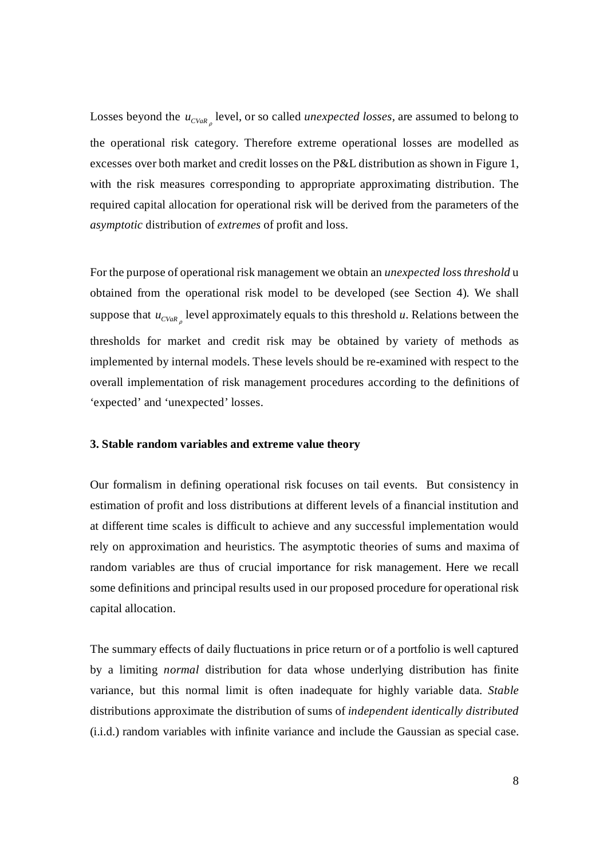Losses beyond the  $u_{\text{cv}_a\textit{R}_{\rho}}$  level, or so called *unexpected losses*, are assumed to belong to the operational risk category. Therefore extreme operational losses are modelled as excesses over both market and credit losses on the P&L distribution as shown in Figure 1, with the risk measures corresponding to appropriate approximating distribution. The required capital allocation for operational risk will be derived from the parameters of the *asymptotic* distribution of *extremes* of profit and loss.

For the purpose of operational risk management we obtain an *unexpected los*s *threshold* u obtained from the operational risk model to be developed (see Section 4). We shall suppose that  $u_{\text{CV}_a}$  level approximately equals to this threshold *u*. Relations between the thresholds for market and credit risk may be obtained by variety of methods as implemented by internal models. These levels should be re-examined with respect to the overall implementation of risk management procedures according to the definitions of 'expected' and 'unexpected' losses.

### **3. Stable random variables and extreme value theory**

Our formalism in defining operational risk focuses on tail events. But consistency in estimation of profit and loss distributions at different levels of a financial institution and at different time scales is difficult to achieve and any successful implementation would rely on approximation and heuristics. The asymptotic theories of sums and maxima of random variables are thus of crucial importance for risk management. Here we recall some definitions and principal results used in our proposed procedure for operational risk capital allocation.

The summary effects of daily fluctuations in price return or of a portfolio is well captured by a limiting *normal* distribution for data whose underlying distribution has finite variance, but this normal limit is often inadequate for highly variable data. *Stable* distributions approximate the distribution of sums of *independent identically distributed* (i.i.d.) random variables with infinite variance and include the Gaussian as special case.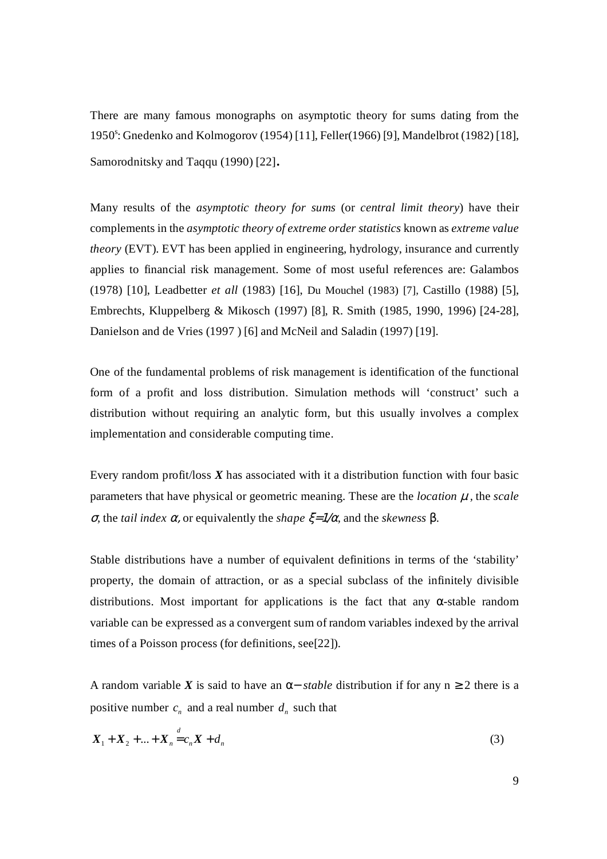There are many famous monographs on asymptotic theory for sums dating from the 1950<sup>s</sup>: Gnedenko and Kolmogorov (1954) [11], Feller(1966) [9], Mandelbrot (1982) [18], Samorodnitsky and Taqqu (1990) [22].

Many results of the *asymptotic theory for sums* (or *central limit theory*) have their complements in the *asymptotic theory of extreme order statistics* known as *extreme value theory* (EVT). EVT has been applied in engineering, hydrology, insurance and currently applies to financial risk management. Some of most useful references are: Galambos (1978) [10], Leadbetter *et all* (1983) [16], Du Mouchel (1983) [7], Castillo (1988) [5], Embrechts, Kluppelberg & Mikosch (1997) [8], R. Smith (1985, 1990, 1996) [24-28], Danielson and de Vries (1997 ) [6] and McNeil and Saladin (1997) [19].

One of the fundamental problems of risk management is identification of the functional form of a profit and loss distribution. Simulation methods will 'construct' such a distribution without requiring an analytic form, but this usually involves a complex implementation and considerable computing time.

Every random profit/loss *X* has associated with it a distribution function with four basic parameters that have physical or geometric meaning. These are the *location*  $\mu$ , the *scale* <sup>σ</sup>*,* the *tail index* α, or equivalently the *shape* ξ=1/α*,* and the *skewness* β.

Stable distributions have a number of equivalent definitions in terms of the 'stability' property, the domain of attraction, or as a special subclass of the infinitely divisible distributions. Most important for applications is the fact that any  $\alpha$ -stable random variable can be expressed as a convergent sum of random variables indexed by the arrival times of a Poisson process (for definitions, see[22]).

A random variable *X* is said to have an  $\alpha$ - *stable* distribution if for any n ≥ 2 there is a positive number  $c_n$  and a real number  $d_n$  such that

$$
X_1 + X_2 + \dots + X_n = c_n X + d_n
$$
\n(3)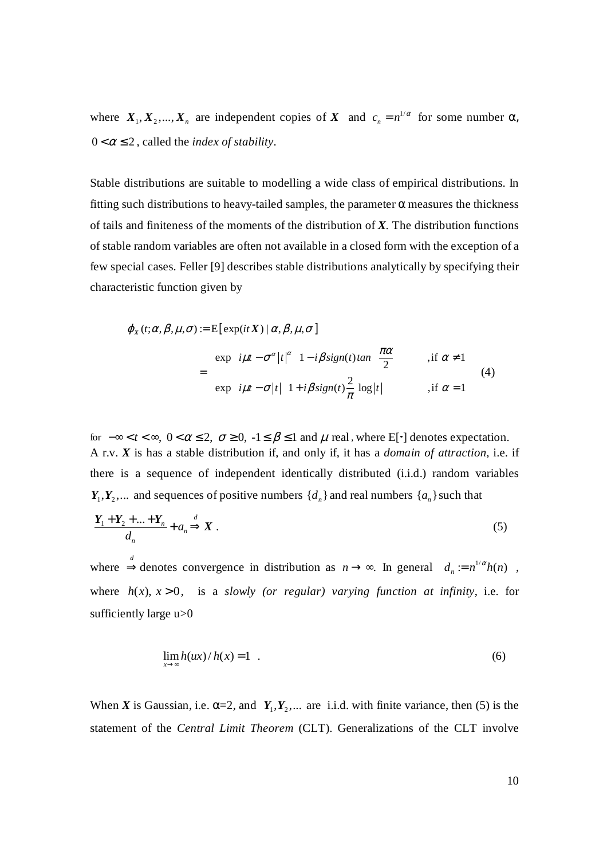where  $X_1, X_2, ..., X_n$  are independent copies of X and  $c_n = n^{1/\alpha}$  for some number  $\alpha$ ,  $0 < \alpha \leq 2$ , called the *index of stability*.

Stable distributions are suitable to modelling a wide class of empirical distributions. In fitting such distributions to heavy-tailed samples, the parameter  $\alpha$  measures the thickness of tails and finiteness of the moments of the distribution of *X.* The distribution functions of stable random variables are often not available in a closed form with the exception of a few special cases. Feller [9] describes stable distributions analytically by specifying their characteristic function given by

$$
\varphi_{X}(t; \alpha, \beta, \mu, \sigma) := \mathbb{E}[\exp(it X) | \alpha, \beta, \mu, \sigma]
$$
\n
$$
= \begin{cases}\n\exp\left(i\mu t - \sigma^{\alpha}|t|^{\alpha}\left(1 - i\beta sign(t)tan\left(\frac{\pi\alpha}{2}\right)\right)\right) & \text{,if } \alpha \neq 1 \\
\exp\left(i\mu t - \sigma|t|\left(1 + i\beta sign(t)\frac{2}{\pi}\log|t|\right)\right) & \text{,if } \alpha = 1\n\end{cases} (4)
$$

for  $-\infty < t < \infty$ ,  $0 < \alpha \leq 2$ ,  $\sigma \geq 0$ ,  $-1 \leq \beta \leq 1$  and  $\mu$  real, where E[·] denotes expectation. A r.v. *X* is has a stable distribution if, and only if, it has a *domain of attraction,* i.e. if there is a sequence of independent identically distributed (i.i.d.) random variables  $Y_1, Y_2, \ldots$  and sequences of positive numbers  $\{d_n\}$  and real numbers  $\{a_n\}$  such that

$$
\frac{Y_1 + Y_2 + \dots + Y_n}{d_n} + a_n \stackrel{d}{\Longrightarrow} X \ . \tag{5}
$$

where  $\Rightarrow$  denotes convergence in distribution as  $n \rightarrow \infty$ . In general  $d_n := n^{1/\alpha} h(n)$ , where  $h(x)$ ,  $x > 0$ , is a *slowly* (or *regular*) *varying function at infinity*, i.e. for sufficiently large u>0

$$
\lim_{x \to \infty} h(ux)/h(x) = 1 \quad . \tag{6}
$$

When *X* is Gaussian, i.e.  $\alpha = 2$ , and  $Y_1, Y_2, \dots$  are i.i.d. with finite variance, then (5) is the statement of the *Central Limit Theorem* (CLT). Generalizations of the CLT involve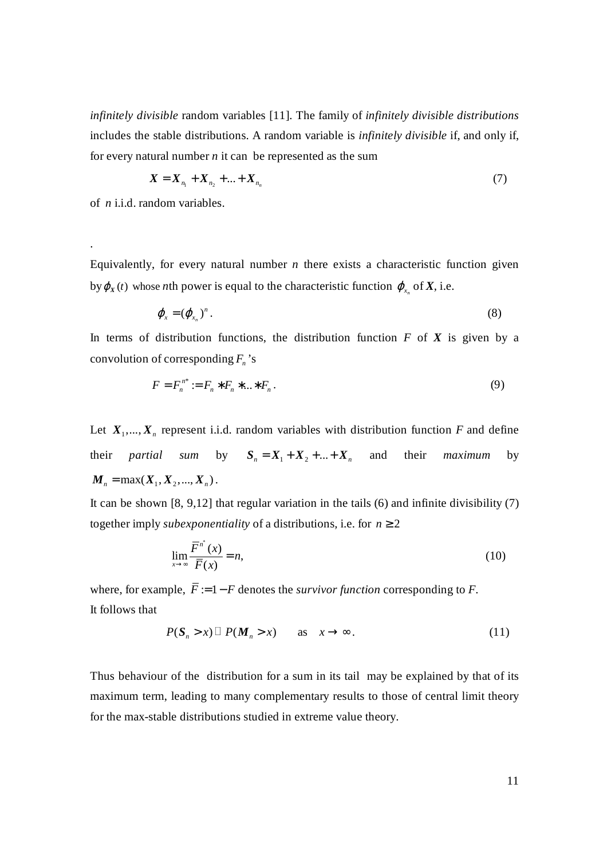*infinitely divisible* random variables [11]. The family of *infinitely divisible distributions* includes the stable distributions. A random variable is *infinitely divisible* if, and only if, for every natural number *n* it can be represented as the sum

$$
X = X_{n_1} + X_{n_2} + \dots + X_{n_n}
$$
 (7)

of *n* i.i.d. random variables.

.

Equivalently, for every natural number *n* there exists a characteristic function given by  $\varphi_X(t)$  whose *n*th power is equal to the characteristic function  $\varphi_{x_n}$  of *X*, i.e.

$$
\varphi_{x} = (\varphi_{x_n})^n. \tag{8}
$$

In terms of distribution functions, the distribution function  $F$  of  $\overline{X}$  is given by a convolution of corresponding *F<sup>n</sup>* 's

$$
F = F_n^{n*} := F_n * F_n * \dots * F_n.
$$
\n(9)

Let  $X_1, ..., X_n$  represent i.i.d. random variables with distribution function *F* and define their *partial sum* by  $S_n = X_1 + X_2 + ... + X_n$ their *maximum* by  $M_n = \max(X_1, X_2, ..., X_n).$ 

It can be shown [8, 9,12] that regular variation in the tails (6) and infinite divisibility (7) together imply *subexponentiality* of a distributions, i.e. for  $n \ge 2$ 

$$
\lim_{x \to \infty} \frac{\overline{F}^{n^*}(x)}{\overline{F}(x)} = n,\tag{10}
$$

where, for example,  $\overline{F}$  :=1−*F* denotes the *survivor function* corresponding to *F*. It follows that

$$
P(S_n > x) \Box P(M_n > x) \qquad \text{as} \quad x \to \infty. \tag{11}
$$

Thus behaviour of the distribution for a sum in its tail may be explained by that of its maximum term, leading to many complementary results to those of central limit theory for the max-stable distributions studied in extreme value theory.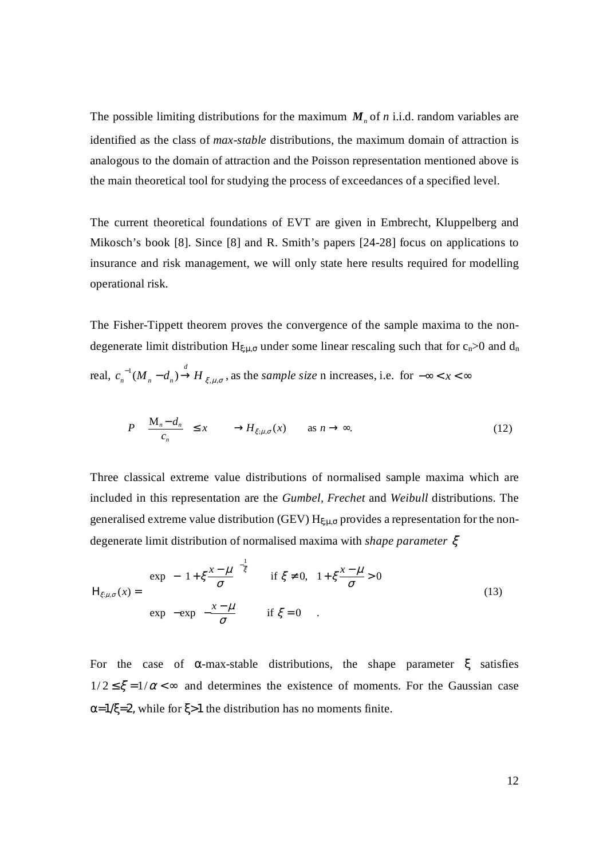The possible limiting distributions for the maximum  $M_n$  of *n* i.i.d. random variables are identified as the class of *max-stable* distributions, the maximum domain of attraction is analogous to the domain of attraction and the Poisson representation mentioned above is the main theoretical tool for studying the process of exceedances of a specified level.

The current theoretical foundations of EVT are given in Embrecht, Kluppelberg and Mikosch's book [8]. Since [8] and R. Smith's papers [24-28] focus on applications to insurance and risk management, we will only state here results required for modelling operational risk.

The Fisher-Tippett theorem proves the convergence of the sample maxima to the nondegenerate limit distribution H<sub>ξ;µ,σ</sub> under some linear rescaling such that for c<sub>n</sub>>0 and d<sub>n</sub> real,  $c_n^{-1}$  $(M_n - d_n) \stackrel{d}{\rightarrow} H_{\xi,\mu,\sigma}$ ,  $c_n^{-1}(M_n - d_n) \to H_{\xi,\mu,\sigma}$ , as the *sample size* n increases, i.e. for  $-\infty < x < \infty$ 

$$
P\left[\left(\frac{\mathbf{M}_n - d_n}{c_n}\right) \le x\right] \longrightarrow H_{\xi,\mu,\sigma}(x) \quad \text{as } n \to \infty.
$$
 (12)

Three classical extreme value distributions of normalised sample maxima which are included in this representation are the *Gumbel, Frechet* and *Weibull* distributions. The generalised extreme value distribution (GEV)  $H_{\xi;\mu,\sigma}$  provides a representation for the nondegenerate limit distribution of normalised maxima with *shape parameter* ξ

$$
H_{\xi:\mu,\sigma}(x) = \begin{cases} exp\left[-\left(1 + \xi \frac{x - \mu}{\sigma}\right)^{\frac{1}{\xi}}\right] & \text{if } \xi \neq 0, \quad 1 + \xi \frac{x - \mu}{\sigma} > 0\\ exp\left[-exp\left(-\frac{x - \mu}{\sigma}\right)\right] & \text{if } \xi = 0 \end{cases}
$$
(13)

For the case of  $\alpha$ -max-stable distributions, the shape parameter  $\xi$  satisfies  $1/2 \leq \xi = 1/\alpha < \infty$  and determines the existence of moments. For the Gaussian case α=1/ξ=2, while for ξ>1 the distribution has no moments finite.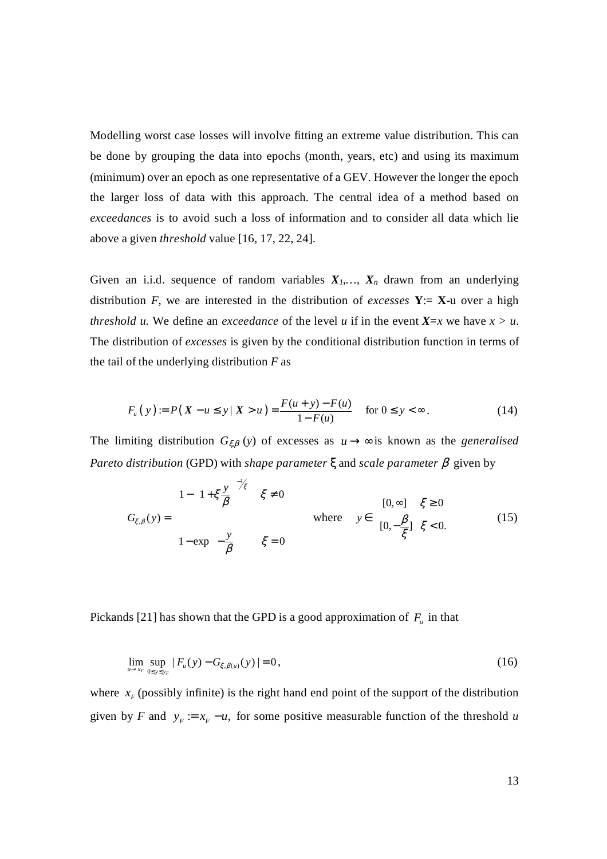Modelling worst case losses will involve fitting an extreme value distribution. This can be done by grouping the data into epochs (month, years, etc) and using its maximum (minimum) over an epoch as one representative of a GEV. However the longer the epoch the larger loss of data with this approach. The central idea of a method based on *exceedances* is to avoid such a loss of information and to consider all data which lie above a given *threshold* value [16, 17, 22, 24].

Given an i.i.d. sequence of random variables  $X_1, \ldots, X_n$  drawn from an underlying distribution *F*, we are interested in the distribution of *excesses*  $Y = X$ -u over a high *threshold u*. We define an *exceedance* of the level *u* if in the event  $X=x$  we have  $x > u$ . The distribution of *excesses* is given by the conditional distribution function in terms of the tail of the underlying distribution *F* as

$$
F_u(y) = P(X - u \le y | X > u) = \frac{F(u + y) - F(u)}{1 - F(u)} \quad \text{for } 0 \le y < \infty.
$$
 (14)

The limiting distribution  $G_{\xi\beta}(y)$  of excesses as  $u \rightarrow \infty$  is known as the *generalised Pareto distribution* (GPD) with *shape parameter* ξ and *scale parameter* β given by

$$
G_{\xi,\beta}(y) = \begin{cases} 1 - \left(1 + \xi \frac{y}{\beta}\right)^{-1/\xi} & \xi \neq 0 \\ 1 - \exp\left(-\frac{y}{\beta}\right) & \xi = 0 \end{cases} \quad \text{where} \quad y \in \begin{cases} [0, \infty] & \xi \ge 0 \\ [0, -\frac{\beta}{\xi}] & \xi < 0. \end{cases} \tag{15}
$$

Pickands [21] has shown that the GPD is a good approximation of  $F<sub>u</sub>$  in that

$$
\lim_{u \to x_F} \sup_{0 \le y \le y_F} |F_u(y) - G_{\xi, \beta(u)}(y)| = 0, \tag{16}
$$

where  $x_F$  (possibly infinite) is the right hand end point of the support of the distribution given by *F* and  $y_F := x_F - u$ , for some positive measurable function of the threshold *u*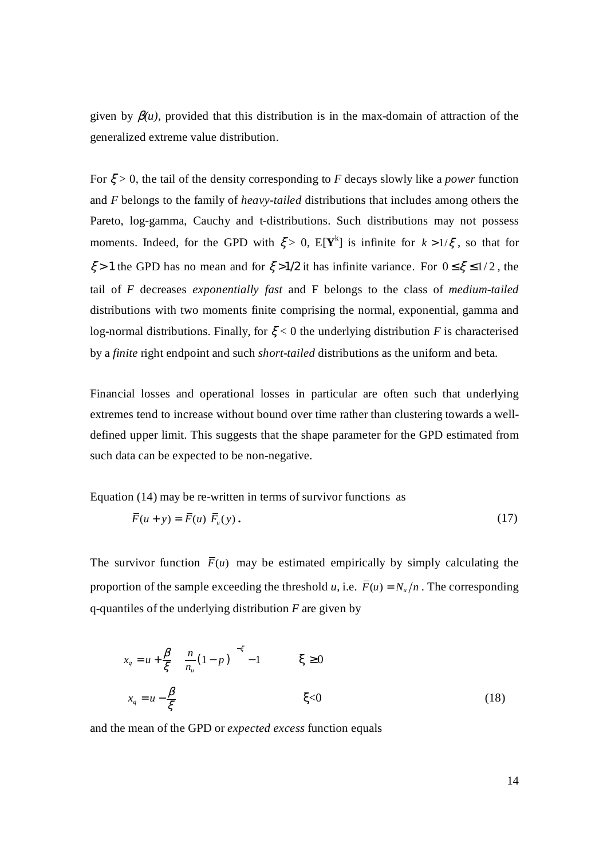given by  $\beta(u)$ , provided that this distribution is in the max-domain of attraction of the generalized extreme value distribution.

For  $\xi > 0$ , the tail of the density corresponding to *F* decays slowly like a *power* function and *F* belongs to the family of *heavy-tailed* distributions that includes among others the Pareto, log-gamma, Cauchy and t-distributions. Such distributions may not possess moments. Indeed, for the GPD with  $\xi > 0$ ,  $E[Y^k]$  is infinite for  $k > 1/\xi$ , so that for  $\zeta > 1$  the GPD has no mean and for  $\zeta > 1/2$  it has infinite variance. For  $0 \le \zeta \le 1/2$ , the tail of *F* decreases *exponentially fast* and F belongs to the class of *medium-tailed* distributions with two moments finite comprising the normal, exponential, gamma and log-normal distributions. Finally, for  $\xi < 0$  the underlying distribution *F* is characterised by a *finite* right endpoint and such *short-tailed* distributions as the uniform and beta.

Financial losses and operational losses in particular are often such that underlying extremes tend to increase without bound over time rather than clustering towards a welldefined upper limit. This suggests that the shape parameter for the GPD estimated from such data can be expected to be non-negative.

Equation (14) may be re-written in terms of survivor functions as

$$
\overline{F}(u+y) = \overline{F}(u) \overline{F}_u(y).
$$
 (17)

The survivor function  $\overline{F}(u)$  may be estimated empirically by simply calculating the proportion of the sample exceeding the threshold *u*, i.e.  $\overline{F}(u) = N_u/n$ . The corresponding q-quantiles of the underlying distribution *F* are given by

$$
x_q = u + \frac{\beta}{\xi} \left[ \left( \frac{n}{n_u} (1 - p) \right)^{-\xi} - 1 \right] \qquad \xi \ge 0
$$
  

$$
x_q = u - \frac{\beta}{\xi} \qquad \xi < 0 \qquad (18)
$$

and the mean of the GPD or *expected excess* function equals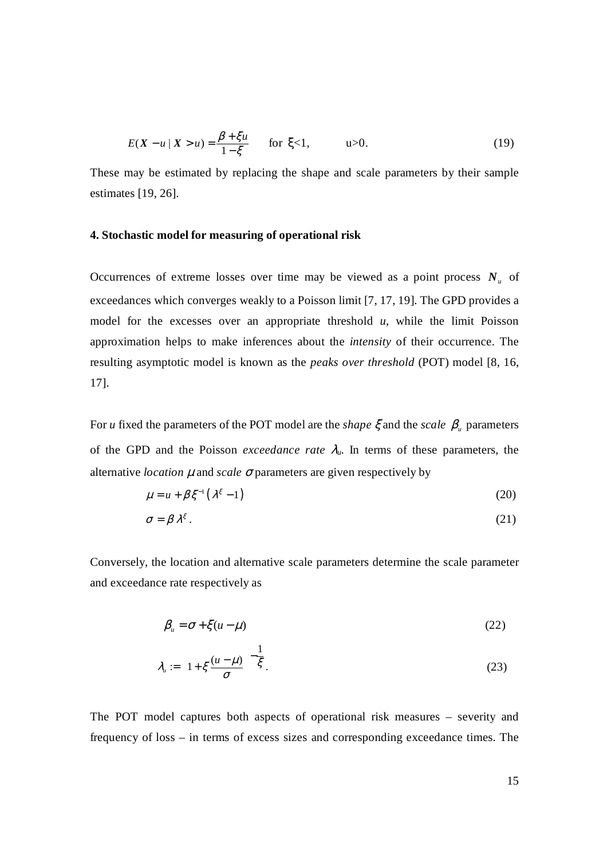$$
E(X - u | X > u) = \frac{\beta + \xi u}{1 - \xi} \quad \text{for } \xi < 1, \quad u > 0.
$$
 (19)

These may be estimated by replacing the shape and scale parameters by their sample estimates [19, 26].

### **4. Stochastic model for measuring of operational risk**

Occurrences of extreme losses over time may be viewed as a point process  $N_u$  of exceedances which converges weakly to a Poisson limit [7, 17, 19]. The GPD provides a model for the excesses over an appropriate threshold  $u$ , while the limit Poisson approximation helps to make inferences about the *intensity* of their occurrence. The resulting asymptotic model is known as the *peaks over threshold* (POT) model [8, 16, 17].

For *u* fixed the parameters of the POT model are the *shape*  $\xi$  and the *scale*  $\beta$ <sub>*u*</sub> parameters of the GPD and the Poisson *exceedance rate*  $\lambda_u$ . In terms of these parameters, the alternative *location*  $\mu$  and *scale*  $\sigma$  parameters are given respectively by

$$
\mu = u + \beta \xi^{-1} \left( \lambda^{\xi} - 1 \right) \tag{20}
$$

$$
\sigma = \beta \lambda^{\xi} \,. \tag{21}
$$

Conversely, the location and alternative scale parameters determine the scale parameter and exceedance rate respectively as

$$
\beta_u = \sigma + \xi(u - \mu) \tag{22}
$$

$$
\lambda_u := \left(1 + \xi \frac{(u - \mu)}{\sigma}\right)^{-\frac{1}{\xi}}.
$$
\n(23)

The POT model captures both aspects of operational risk measures – severity and frequency of loss – in terms of excess sizes and corresponding exceedance times. The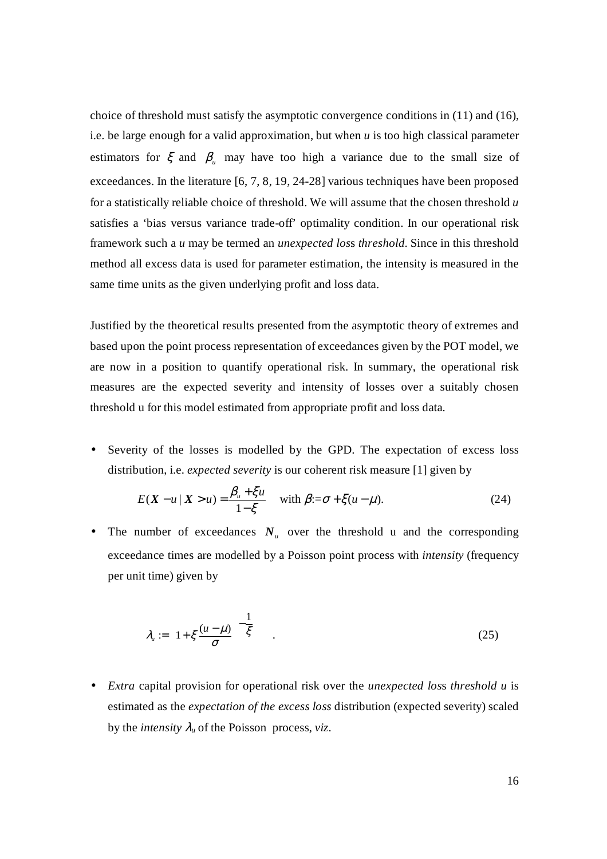choice of threshold must satisfy the asymptotic convergence conditions in (11) and (16), i.e. be large enough for a valid approximation, but when *u* is too high classical parameter estimators for  $\xi$  and  $\beta$ <sub>u</sub> may have too high a variance due to the small size of exceedances. In the literature [6, 7, 8, 19, 24-28] various techniques have been proposed for a statistically reliable choice of threshold. We will assume that the chosen threshold *u* satisfies a 'bias versus variance trade-off' optimality condition. In our operational risk framework such a *u* may be termed an *unexpected los*s *threshold*. Since in this threshold method all excess data is used for parameter estimation, the intensity is measured in the same time units as the given underlying profit and loss data.

Justified by the theoretical results presented from the asymptotic theory of extremes and based upon the point process representation of exceedances given by the POT model, we are now in a position to quantify operational risk. In summary, the operational risk measures are the expected severity and intensity of losses over a suitably chosen threshold u for this model estimated from appropriate profit and loss data.

• Severity of the losses is modelled by the GPD. The expectation of excess loss distribution, i.e. *expected severity* is our coherent risk measure [1] given by

$$
E(X - u | X > u) = \frac{\beta_u + \xi u}{1 - \xi} \quad \text{with } \beta := \sigma + \xi (u - \mu). \tag{24}
$$

• The number of exceedances  $N<sub>u</sub>$  over the threshold u and the corresponding exceedance times are modelled by a Poisson point process with *intensity* (frequency per unit time) given by

$$
\lambda_u := \left(1 + \xi \frac{(u - \mu)}{\sigma}\right)^{-\frac{1}{\xi}} \tag{25}
$$

• *Extra* capital provision for operational risk over the *unexpected los*s *threshold u* is estimated as the *expectation of the excess loss* distribution (expected severity) scaled by the *intensity* λ*<sup>u</sup>* of the Poisson process, *viz*.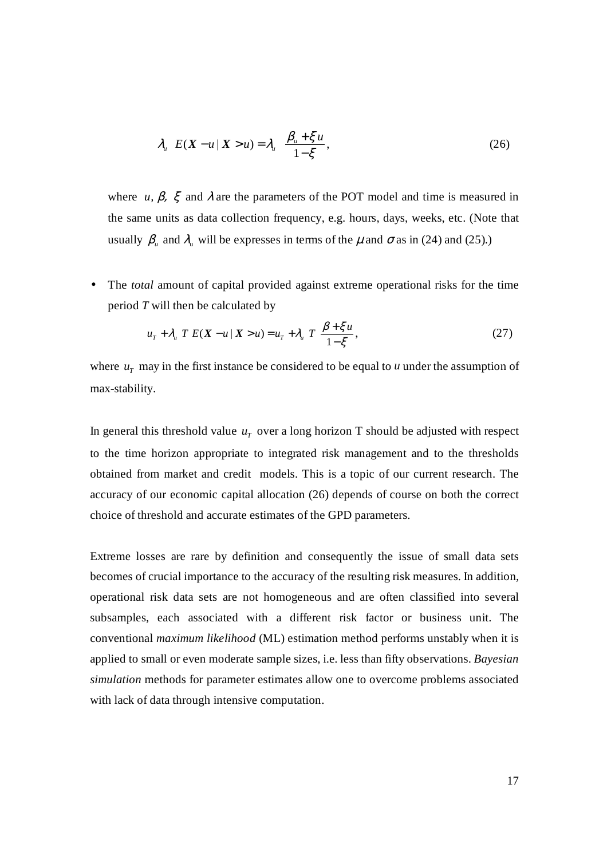$$
\lambda_u \ E(X - u \mid X > u) = \lambda_u \ \frac{\beta_u + \xi u}{1 - \xi},\tag{26}
$$

where *u*,  $\beta$ ,  $\xi$  and  $\lambda$  are the parameters of the POT model and time is measured in the same units as data collection frequency, e.g. hours, days, weeks, etc. (Note that usually  $\beta_u$  and  $\lambda_u$  will be expresses in terms of the  $\mu$  and  $\sigma$  as in (24) and (25).)

• The *total* amount of capital provided against extreme operational risks for the time period *T* will then be calculated by

$$
u_{\tau} + \lambda_u \ T \ E(X - u \mid X > u) = u_{\tau} + \lambda_u \ T \ \frac{\beta + \xi u}{1 - \xi},\tag{27}
$$

where  $u_T$  may in the first instance be considered to be equal to  $u$  under the assumption of max-stability.

In general this threshold value  $u<sub>T</sub>$  over a long horizon T should be adjusted with respect to the time horizon appropriate to integrated risk management and to the thresholds obtained from market and credit models. This is a topic of our current research. The accuracy of our economic capital allocation (26) depends of course on both the correct choice of threshold and accurate estimates of the GPD parameters.

Extreme losses are rare by definition and consequently the issue of small data sets becomes of crucial importance to the accuracy of the resulting risk measures. In addition, operational risk data sets are not homogeneous and are often classified into several subsamples, each associated with a different risk factor or business unit. The conventional *maximum likelihood* (ML) estimation method performs unstably when it is applied to small or even moderate sample sizes, i.e. less than fifty observations. *Bayesian simulation* methods for parameter estimates allow one to overcome problems associated with lack of data through intensive computation.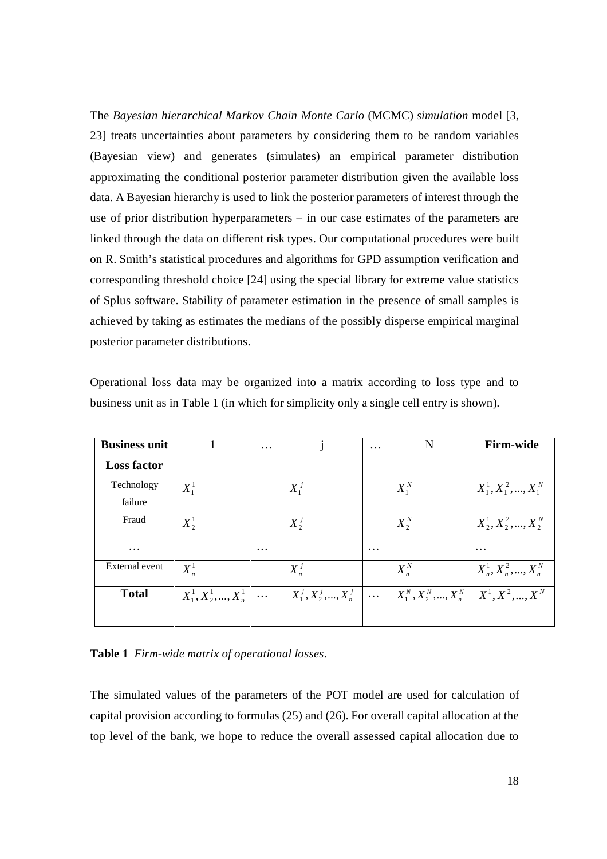The *Bayesian hierarchical Markov Chain Monte Carlo* (MCMC) *simulation* model [3, 23] treats uncertainties about parameters by considering them to be random variables (Bayesian view) and generates (simulates) an empirical parameter distribution approximating the conditional posterior parameter distribution given the available loss data. A Bayesian hierarchy is used to link the posterior parameters of interest through the use of prior distribution hyperparameters – in our case estimates of the parameters are linked through the data on different risk types. Our computational procedures were built on R. Smith's statistical procedures and algorithms for GPD assumption verification and corresponding threshold choice [24] using the special library for extreme value statistics of Splus software. Stability of parameter estimation in the presence of small samples is achieved by taking as estimates the medians of the possibly disperse empirical marginal posterior parameter distributions.

| <b>Business unit</b> |                         | $\cdots$ |                         | $\cdots$ | N                                                  | <b>Firm-wide</b>        |
|----------------------|-------------------------|----------|-------------------------|----------|----------------------------------------------------|-------------------------|
| <b>Loss factor</b>   |                         |          |                         |          |                                                    |                         |
| Technology           | $X_1^1$                 |          | $X_1^j$                 |          | $X_1^N$                                            | $X_1^1, X_1^2, , X_1^N$ |
| failure              |                         |          |                         |          |                                                    |                         |
| Fraud                | $X_2^1$                 |          | $X_{2}^{j}$             |          | $X_2^N$                                            | $X_2^1, X_2^2, , X_2^N$ |
| $\ddots$             |                         | $\cdots$ |                         | $\cdots$ |                                                    | $\cdot\cdot\cdot$       |
| External event       | $X_n^1$                 |          | $X_n^j$                 |          | $X_n^N$                                            | $X_n^1, X_n^2, , X_n^N$ |
| <b>Total</b>         | $X_1^1, X_2^1, , X_n^1$ | $\ldots$ | $X_1^j, X_2^j, , X_n^j$ |          | $\cdots$ $X_1^N, X_2^N, , X_n^N$ $X^1, X^2, , X^N$ |                         |
|                      |                         |          |                         |          |                                                    |                         |

Operational loss data may be organized into a matrix according to loss type and to business unit as in Table 1 (in which for simplicity only a single cell entry is shown).

### **Table 1** *Firm-wide matrix of operational losses*.

The simulated values of the parameters of the POT model are used for calculation of capital provision according to formulas (25) and (26). For overall capital allocation at the top level of the bank, we hope to reduce the overall assessed capital allocation due to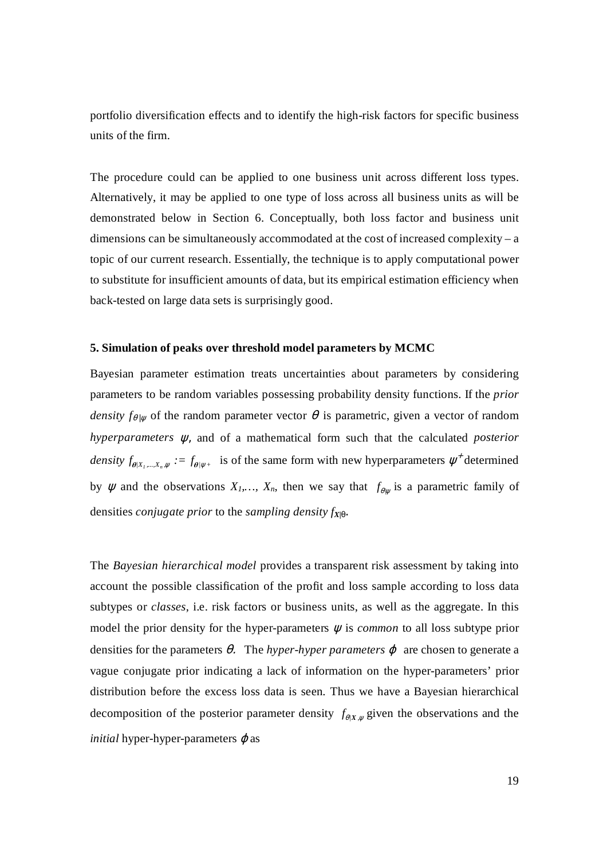portfolio diversification effects and to identify the high-risk factors for specific business units of the firm.

The procedure could can be applied to one business unit across different loss types. Alternatively, it may be applied to one type of loss across all business units as will be demonstrated below in Section 6. Conceptually, both loss factor and business unit dimensions can be simultaneously accommodated at the cost of increased complexity – a topic of our current research. Essentially, the technique is to apply computational power to substitute for insufficient amounts of data, but its empirical estimation efficiency when back-tested on large data sets is surprisingly good.

### **5. Simulation of peaks over threshold model parameters by MCMC**

Bayesian parameter estimation treats uncertainties about parameters by considering parameters to be random variables possessing probability density functions. If the *prior density*  $f_{\theta | \psi}$  of the random parameter vector  $\theta$  is parametric, given a vector of random *hyperparameters* ψ, and of a mathematical form such that the calculated *posterior density*  $f_{\theta|X_1,\dots,X_n,\psi} := f_{\theta|\psi^+}$  is of the same form with new hyperparameters  $\psi^+$  determined by  $\psi$  and the observations  $X_1, \ldots, X_n$ , then we say that  $f_{\theta|\psi}$  is a parametric family of | densities *conjugate prior* to the *sampling density fX|*θ.

The *Bayesian hierarchical model* provides a transparent risk assessment by taking into account the possible classification of the profit and loss sample according to loss data subtypes or *classes*, i.e. risk factors or business units, as well as the aggregate. In this model the prior density for the hyper-parameters  $\psi$  is *common* to all loss subtype prior densities for the parameters  $\theta$ . The *hyper-hyper parameters*  $\varphi$  are chosen to generate a vague conjugate prior indicating a lack of information on the hyper-parameters' prior distribution before the excess loss data is seen*.* Thus we have a Bayesian hierarchical decomposition of the posterior parameter density  $f_{\theta|X,\psi}$  given the observations and the *initial* hyper-hyper-parameters  $\varphi$  as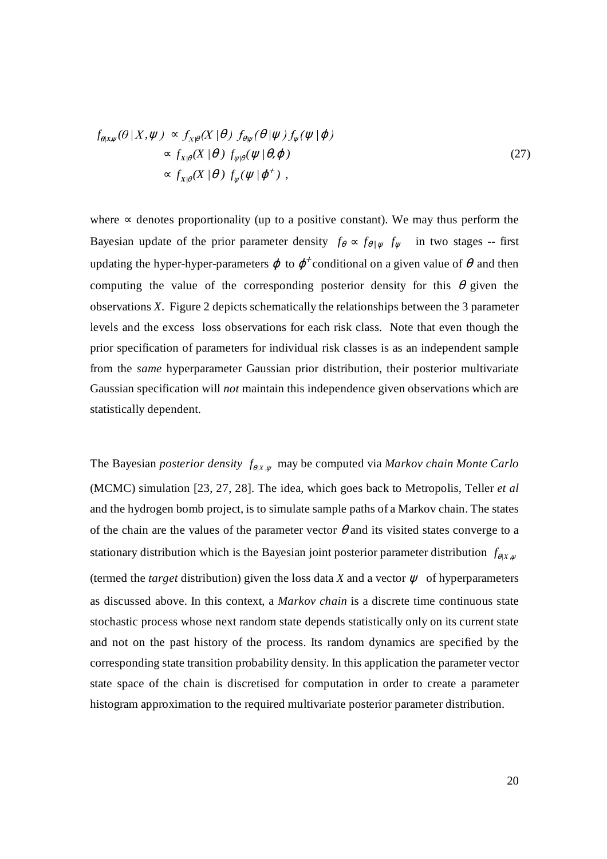$$
f_{\theta|X,\psi}(\theta|X,\psi) \propto f_{X|\theta}(X|\theta) f_{\theta|\psi}(\theta|\psi) f_{\psi}(\psi|\phi)
$$
  
\n
$$
\propto f_{X|\theta}(X|\theta) f_{\psi|\theta}(\psi|\theta,\phi)
$$
  
\n
$$
\propto f_{X|\theta}(X|\theta) f_{\psi}(\psi|\phi^+),
$$
\n(27)

where  $\infty$  denotes proportionality (up to a positive constant). We may thus perform the Bayesian update of the prior parameter density  $f_{\theta} \propto f_{\theta | \psi} f_{\psi}$  in two stages -- first updating the hyper-hyper-parameters  $\varphi$  to  $\varphi^*$  conditional on a given value of  $\theta$  and then computing the value of the corresponding posterior density for this  $\theta$  given the observations *X*. Figure 2 depicts schematically the relationships between the 3 parameter levels and the excess loss observations for each risk class. Note that even though the prior specification of parameters for individual risk classes is as an independent sample from the *same* hyperparameter Gaussian prior distribution, their posterior multivariate Gaussian specification will *not* maintain this independence given observations which are statistically dependent.

The Bayesian *posterior density*  $f_{\theta|X,\psi}$  may be computed via *Markov chain Monte Carlo* (MCMC) simulation [23, 27, 28]. The idea, which goes back to Metropolis, Teller *et al* and the hydrogen bomb project*,* is to simulate sample paths of a Markov chain. The states of the chain are the values of the parameter vector  $\theta$  and its visited states converge to a stationary distribution which is the Bayesian joint posterior parameter distribution  $f_{\theta|X,\psi}$ (termed the *target* distribution) given the loss data *X* and a vector  $\psi$  of hyperparameters as discussed above. In this context, a *Markov chain* is a discrete time continuous state stochastic process whose next random state depends statistically only on its current state and not on the past history of the process. Its random dynamics are specified by the corresponding state transition probability density. In this application the parameter vector state space of the chain is discretised for computation in order to create a parameter histogram approximation to the required multivariate posterior parameter distribution.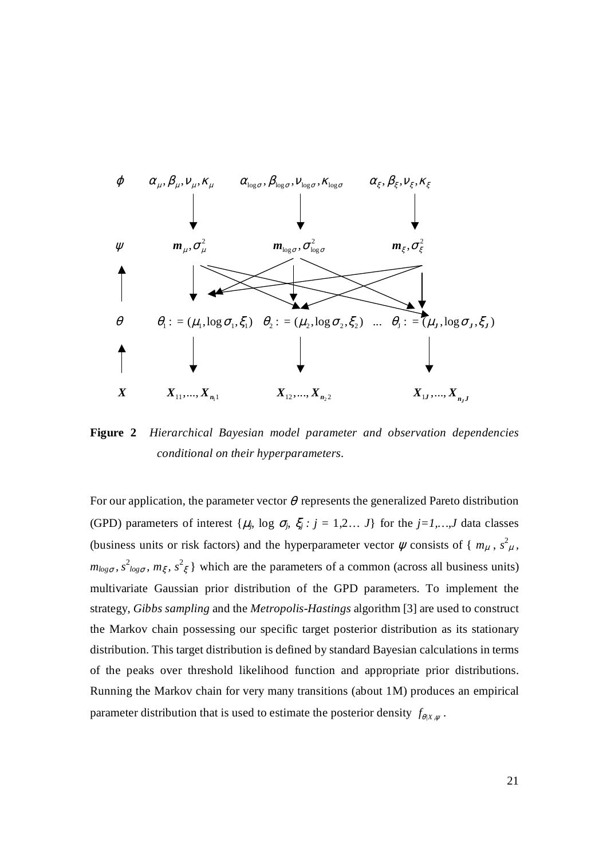

**Figure 2** *Hierarchical Bayesian model parameter and observation dependencies conditional on their hyperparameters.*

For our application, the parameter vector  $\theta$  represents the generalized Pareto distribution (GPD) parameters of interest  $\{\mu_j, \log \sigma_j, \xi_j : j = 1,2... \}$  for the  $j=1,...,J$  data classes (business units or risk factors) and the hyperparameter vector  $\psi$  consists of { $m_{\mu}$ ,  $s^2_{\mu}$ ,  $m_{log\sigma}$ ,  $s^2_{log\sigma}$ ,  $m_\xi$ ,  $s^2_\xi$  } which are the parameters of a common (across all business units) multivariate Gaussian prior distribution of the GPD parameters. To implement the strategy, *Gibbs sampling* and the *Metropolis-Hastings* algorithm [3] are used to construct the Markov chain possessing our specific target posterior distribution as its stationary distribution. This target distribution is defined by standard Bayesian calculations in terms of the peaks over threshold likelihood function and appropriate prior distributions. Running the Markov chain for very many transitions (about 1M) produces an empirical parameter distribution that is used to estimate the posterior density  $f_{\theta|X,\psi}$ .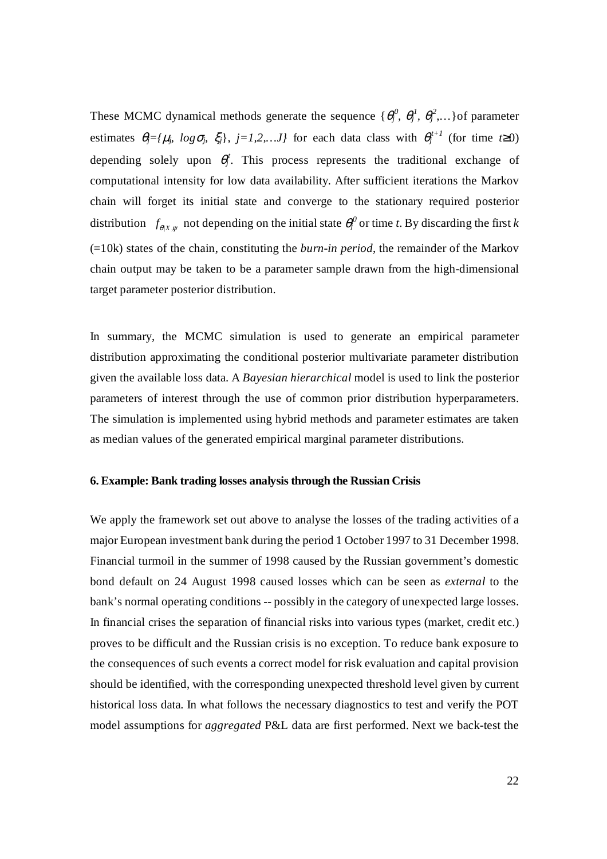These MCMC dynamical methods generate the sequence  $\{\theta_i^0, \theta_j^1, \theta_j^2, ...\}$  of parameter estimates  $\theta_j = {\mu_j \log \sigma_j, \xi_j}, j = 1, 2, \ldots J}$  for each data class with  $\theta_j^{t+1}$  (for time  $t \ge 0$ ) depending solely upon  $\theta_j^t$ . This process represents the traditional exchange of computational intensity for low data availability. After sufficient iterations the Markov chain will forget its initial state and converge to the stationary required posterior distribution  $f_{\theta|X,\psi}$  not depending on the initial state  $\theta_j^0$  or time *t*. By discarding the first *k* (=10k) states of the chain, constituting the *burn-in period*, the remainder of the Markov chain output may be taken to be a parameter sample drawn from the high-dimensional target parameter posterior distribution.

In summary, the MCMC simulation is used to generate an empirical parameter distribution approximating the conditional posterior multivariate parameter distribution given the available loss data. A *Bayesian hierarchical* model is used to link the posterior parameters of interest through the use of common prior distribution hyperparameters. The simulation is implemented using hybrid methods and parameter estimates are taken as median values of the generated empirical marginal parameter distributions.

### **6. Example: Bank trading losses analysis through the Russian Crisis**

We apply the framework set out above to analyse the losses of the trading activities of a major European investment bank during the period 1 October 1997 to 31 December 1998. Financial turmoil in the summer of 1998 caused by the Russian government's domestic bond default on 24 August 1998 caused losses which can be seen as *external* to the bank's normal operating conditions -- possibly in the category of unexpected large losses. In financial crises the separation of financial risks into various types (market, credit etc.) proves to be difficult and the Russian crisis is no exception. To reduce bank exposure to the consequences of such events a correct model for risk evaluation and capital provision should be identified, with the corresponding unexpected threshold level given by current historical loss data. In what follows the necessary diagnostics to test and verify the POT model assumptions for *aggregated* P&L data are first performed. Next we back-test the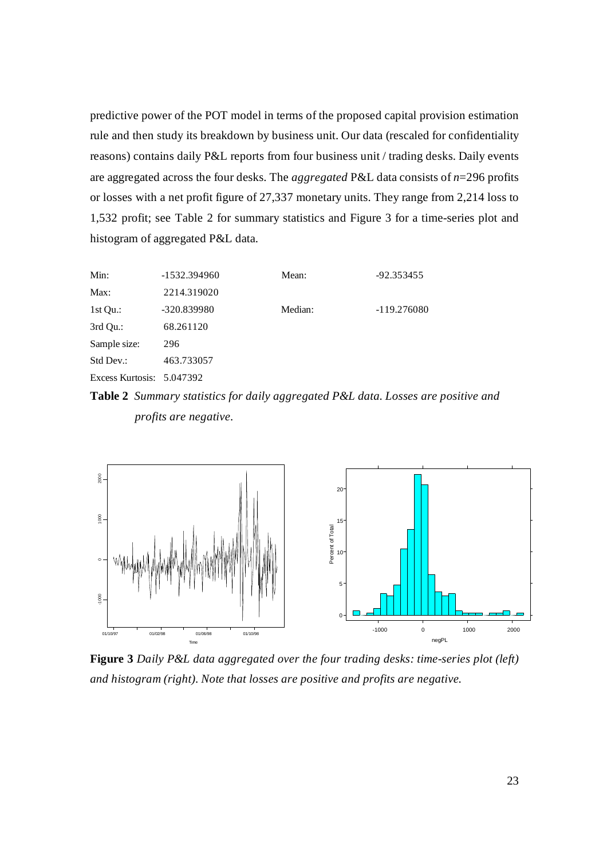predictive power of the POT model in terms of the proposed capital provision estimation rule and then study its breakdown by business unit. Our data (rescaled for confidentiality reasons) contains daily P&L reports from four business unit / trading desks. Daily events are aggregated across the four desks. The *aggregated* P&L data consists of *n*=296 profits or losses with a net profit figure of 27,337 monetary units. They range from 2,214 loss to 1,532 profit; see Table 2 for summary statistics and Figure 3 for a time-series plot and histogram of aggregated P&L data.

| Min:                      | $-1532.394960$ | Mean:   | -92.353455    |
|---------------------------|----------------|---------|---------------|
| Max:                      | 2214.319020    |         |               |
| 1st Qu.:                  | -320.839980    | Median: | $-119.276080$ |
| $3rd$ Qu.:                | 68.261120      |         |               |
| Sample size:              | 296            |         |               |
| Std Dev.:                 | 463.733057     |         |               |
| Excess Kurtosis: 5.047392 |                |         |               |

**Table 2** *Summary statistics for daily aggregated P&L data. Losses are positive and profits are negative.*



**Figure 3** *Daily P&L data aggregated over the four trading desks: time-series plot (left) and histogram (right). Note that losses are positive and profits are negative.*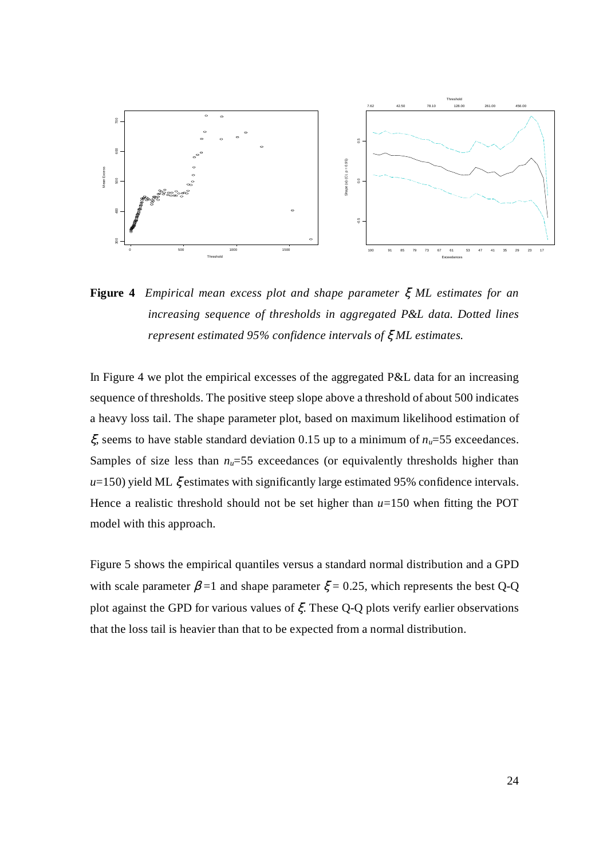

**Figure 4** *Empirical mean excess plot and shape parameter* ξ *ML estimates for an increasing sequence of thresholds in aggregated P&L data. Dotted lines represent estimated 95% confidence intervals of* ξ *ML estimates.*

In Figure 4 we plot the empirical excesses of the aggregated P&L data for an increasing sequence of thresholds. The positive steep slope above a threshold of about 500 indicates a heavy loss tail. The shape parameter plot, based on maximum likelihood estimation of ξ, seems to have stable standard deviation 0.15 up to a minimum of *nu*=55 exceedances. Samples of size less than  $n_u=55$  exceedances (or equivalently thresholds higher than  $u=150$ ) yield ML  $\xi$  estimates with significantly large estimated 95% confidence intervals. Hence a realistic threshold should not be set higher than *u*=150 when fitting the POT model with this approach.

Figure 5 shows the empirical quantiles versus a standard normal distribution and a GPD with scale parameter  $\beta = 1$  and shape parameter  $\xi = 0.25$ , which represents the best Q-Q plot against the GPD for various values of ξ. These Q-Q plots verify earlier observations that the loss tail is heavier than that to be expected from a normal distribution.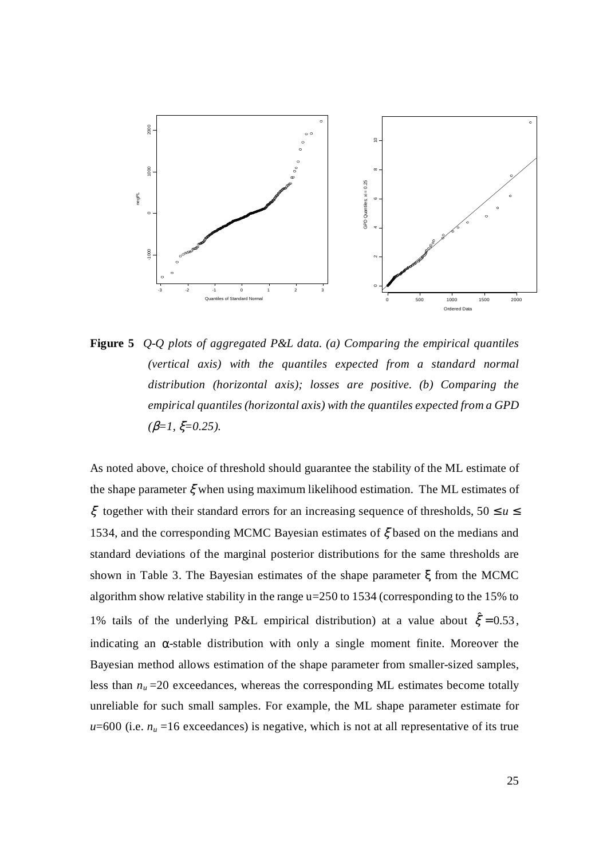

**Figure 5** *Q-Q plots of aggregated P&L data. (a) Comparing the empirical quantiles (vertical axis) with the quantiles expected from a standard normal distribution (horizontal axis); losses are positive. (b) Comparing the empirical quantiles (horizontal axis) with the quantiles expected from a GPD (*β*=1,* ξ*=0.25).*

As noted above, choice of threshold should guarantee the stability of the ML estimate of the shape parameter ξ when using maximum likelihood estimation*.* The ML estimates of  $\xi$  together with their standard errors for an increasing sequence of thresholds,  $50 \le u \le$ 1534, and the corresponding MCMC Bayesian estimates of  $\xi$  based on the medians and standard deviations of the marginal posterior distributions for the same thresholds are shown in Table 3. The Bayesian estimates of the shape parameter ξ from the MCMC algorithm show relative stability in the range u=250 to 1534 (corresponding to the 15% to 1% tails of the underlying P&L empirical distribution) at a value about  $\hat{\xi} = 0.53$ , indicating an  $\alpha$ -stable distribution with only a single moment finite. Moreover the Bayesian method allows estimation of the shape parameter from smaller-sized samples, less than  $n<sub>u</sub> = 20$  exceedances, whereas the corresponding ML estimates become totally unreliable for such small samples. For example, the ML shape parameter estimate for  $u=600$  (i.e.  $n<sub>u</sub>=16$  exceedances) is negative, which is not at all representative of its true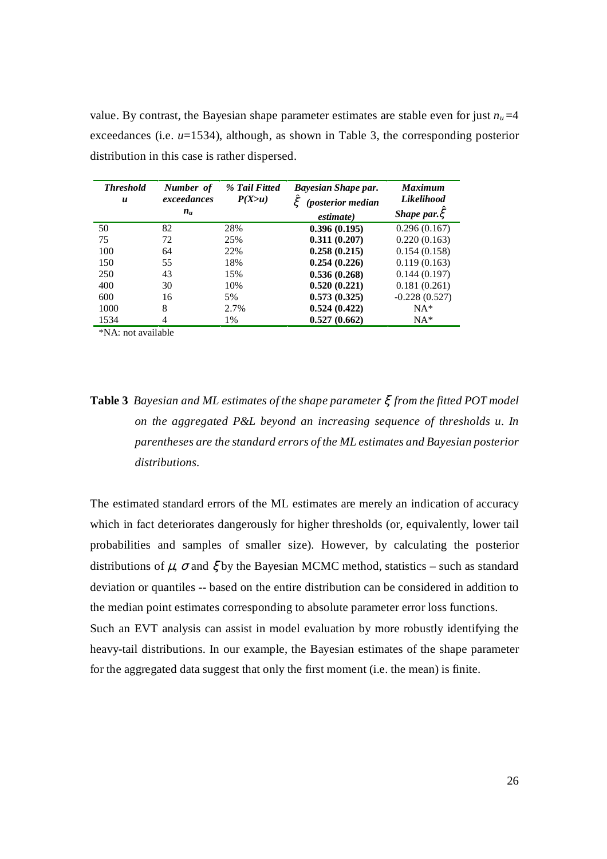value. By contrast, the Bayesian shape parameter estimates are stable even for just  $n<sub>u</sub> = 4$ exceedances (i.e. *u*=1534), although, as shown in Table 3, the corresponding posterior distribution in this case is rather dispersed.

| <b>Threshold</b><br>$\boldsymbol{u}$ | Number of<br>exceedances<br>$n_{u}$ | % Tail Fitted<br>P(X>u) | <b>Bayesian Shape par.</b><br>(posterior median<br><i>estimate</i> ) | <b>Maximum</b><br><b>Likelihood</b><br>Shape par. $\xi$ |  |
|--------------------------------------|-------------------------------------|-------------------------|----------------------------------------------------------------------|---------------------------------------------------------|--|
| 50                                   | 82                                  | 28%                     | 0.396(0.195)                                                         | 0.296(0.167)                                            |  |
| 75                                   | 72                                  | 25%                     | 0.311(0.207)                                                         | 0.220(0.163)                                            |  |
| 100                                  | 64                                  | 22%                     | 0.258(0.215)                                                         | 0.154(0.158)                                            |  |
| 150                                  | 55                                  | 18%                     | 0.254(0.226)                                                         | 0.119(0.163)                                            |  |
| 250                                  | 43                                  | 15%                     | 0.536(0.268)                                                         | 0.144(0.197)                                            |  |
| 400                                  | 30                                  | 10%                     | 0.520(0.221)                                                         | 0.181(0.261)                                            |  |
| 600                                  | 16                                  | 5%                      | 0.573(0.325)                                                         | $-0.228(0.527)$                                         |  |
| 1000                                 | 8                                   | 2.7%                    | 0.524(0.422)                                                         | $NA*$                                                   |  |
| 1534                                 | 4                                   | 1%                      | 0.527(0.662)                                                         | $NA*$                                                   |  |
|                                      |                                     |                         |                                                                      |                                                         |  |

\*NA: not available

# **Table 3** *Bayesian and ML estimates of the shape parameter* ξ *from the fitted POT model on the aggregated P&L beyond an increasing sequence of thresholds u. In parentheses are the standard errors of the ML estimates and Bayesian posterior distributions.*

The estimated standard errors of the ML estimates are merely an indication of accuracy which in fact deteriorates dangerously for higher thresholds (or, equivalently, lower tail probabilities and samples of smaller size). However, by calculating the posterior distributions of  $\mu$ ,  $\sigma$  and  $\xi$  by the Bayesian MCMC method, statistics – such as standard deviation or quantiles -- based on the entire distribution can be considered in addition to the median point estimates corresponding to absolute parameter error loss functions. Such an EVT analysis can assist in model evaluation by more robustly identifying the heavy-tail distributions. In our example, the Bayesian estimates of the shape parameter for the aggregated data suggest that only the first moment (i.e. the mean) is finite.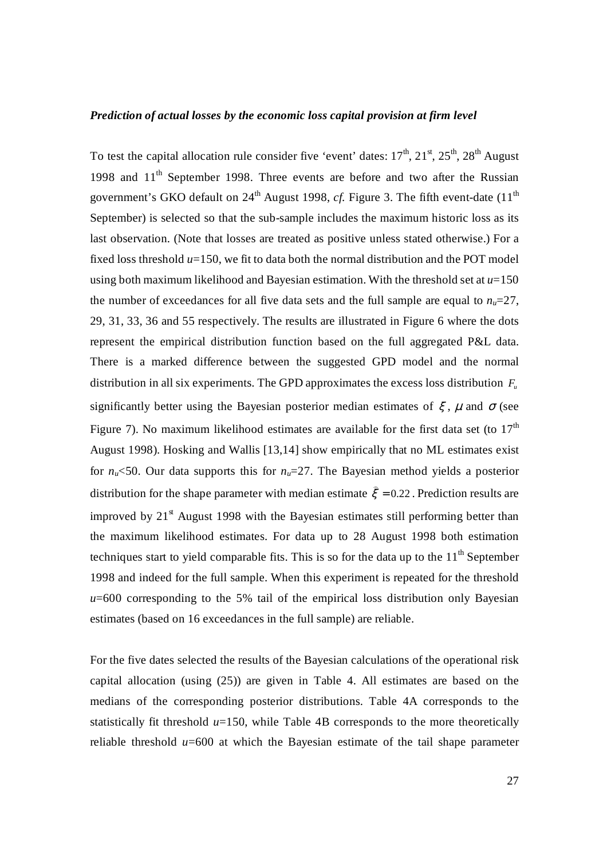### *Prediction of actual losses by the economic loss capital provision at firm level*

To test the capital allocation rule consider five 'event' dates:  $17^{\text{th}}$ ,  $21^{\text{st}}$ ,  $25^{\text{th}}$ ,  $28^{\text{th}}$  August 1998 and 11<sup>th</sup> September 1998. Three events are before and two after the Russian government's GKO default on  $24^{\text{th}}$  August 1998, *cf.* Figure 3. The fifth event-date  $(11^{\text{th}}$ September) is selected so that the sub-sample includes the maximum historic loss as its last observation. (Note that losses are treated as positive unless stated otherwise.) For a fixed loss threshold *u*=150, we fit to data both the normal distribution and the POT model using both maximum likelihood and Bayesian estimation. With the threshold set at *u*=150 the number of exceedances for all five data sets and the full sample are equal to  $n<sub>u</sub>=27$ , 29, 31, 33, 36 and 55 respectively. The results are illustrated in Figure 6 where the dots represent the empirical distribution function based on the full aggregated P&L data. There is a marked difference between the suggested GPD model and the normal distribution in all six experiments. The GPD approximates the excess loss distribution *F<sup>u</sup>* significantly better using the Bayesian posterior median estimates of  $\xi$ ,  $\mu$  and  $\sigma$  (see Figure 7). No maximum likelihood estimates are available for the first data set (to  $17<sup>th</sup>$ August 1998). Hosking and Wallis [13,14] show empirically that no ML estimates exist for  $n_u$ <50. Our data supports this for  $n_u$ =27. The Bayesian method yields a posterior distribution for the shape parameter with median estimate  $\tilde{\xi} = 0.22$ . Prediction results are improved by  $21<sup>st</sup>$  August 1998 with the Bayesian estimates still performing better than the maximum likelihood estimates. For data up to 28 August 1998 both estimation techniques start to yield comparable fits. This is so for the data up to the  $11<sup>th</sup>$  September 1998 and indeed for the full sample. When this experiment is repeated for the threshold  $u=600$  corresponding to the 5% tail of the empirical loss distribution only Bayesian estimates (based on 16 exceedances in the full sample) are reliable.

For the five dates selected the results of the Bayesian calculations of the operational risk capital allocation (using (25)) are given in Table 4. All estimates are based on the medians of the corresponding posterior distributions. Table 4A corresponds to the statistically fit threshold  $u=150$ , while Table 4B corresponds to the more theoretically reliable threshold  $u=600$  at which the Bayesian estimate of the tail shape parameter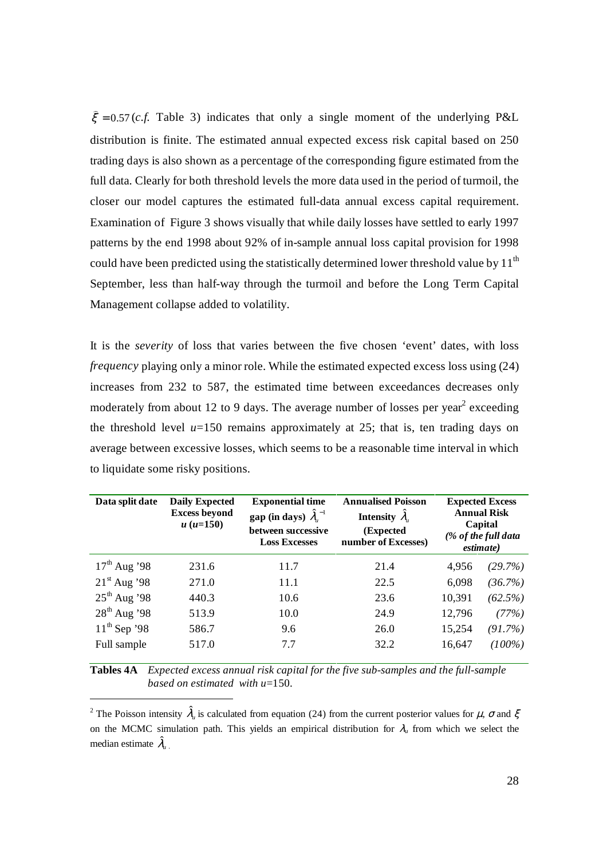$\hat{\xi} = 0.57$  (*c.f.* Table 3) indicates that only a single moment of the underlying P&L distribution is finite. The estimated annual expected excess risk capital based on 250 trading days is also shown as a percentage of the corresponding figure estimated from the full data. Clearly for both threshold levels the more data used in the period of turmoil, the closer our model captures the estimated full-data annual excess capital requirement. Examination of Figure 3 shows visually that while daily losses have settled to early 1997 patterns by the end 1998 about 92% of in-sample annual loss capital provision for 1998 could have been predicted using the statistically determined lower threshold value by  $11^{\rm th}$ September, less than half-way through the turmoil and before the Long Term Capital Management collapse added to volatility.

It is the *severity* of loss that varies between the five chosen 'event' dates, with loss *frequency* playing only a minor role. While the estimated expected excess loss using (24) increases from 232 to 587, the estimated time between exceedances decreases only moderately from about 12 to 9 days. The average number of losses per year<sup>2</sup> exceeding the threshold level  $u=150$  remains approximately at 25; that is, ten trading days on average between excessive losses, which seems to be a reasonable time interval in which to liquidate some risky positions.

| Data split date          | <b>Daily Expected</b><br><b>Excess beyond</b><br>$u (u=150)$ | <b>Exponential time</b><br>gap (in days) $\hat{\lambda}_{n}^{-1}$<br>between successive<br><b>Loss Excesses</b> | <b>Annualised Poisson</b><br>Intensity $\hat{\lambda}_u$<br>(Expected<br>number of Excesses) | <b>Expected Excess</b><br><b>Annual Risk</b><br>Capital<br>(% of the full data<br><i>estimate</i> ) |            |
|--------------------------|--------------------------------------------------------------|-----------------------------------------------------------------------------------------------------------------|----------------------------------------------------------------------------------------------|-----------------------------------------------------------------------------------------------------|------------|
| $17th$ Aug '98           | 231.6                                                        | 11.7                                                                                                            | 21.4                                                                                         | 4.956                                                                                               | (29.7%)    |
| $21^{\rm st}$ Aug '98    | 271.0                                                        | 11.1                                                                                                            | 22.5                                                                                         | 6,098                                                                                               | (36.7%)    |
| $25^{\text{th}}$ Aug '98 | 440.3                                                        | 10.6                                                                                                            | 23.6                                                                                         | 10,391                                                                                              | $(62.5\%)$ |
| $28^{\text{th}}$ Aug '98 | 513.9                                                        | 10.0                                                                                                            | 24.9                                                                                         | 12,796                                                                                              | (77%)      |
| $11^{th}$ Sep '98        | 586.7                                                        | 9.6                                                                                                             | 26.0                                                                                         | 15,254                                                                                              | (91.7%)    |
| Full sample              | 517.0                                                        | 7.7                                                                                                             | 32.2                                                                                         | 16,647                                                                                              | $(100\%)$  |

**Tables 4A** *Expected excess annual risk capital for the five sub-samples and the full-sample based on estimated with u*=150.

l

<sup>2</sup> The Poisson intensity  $\hat{\lambda}_\mu$  is calculated from equation (24) from the current posterior values for  $\mu$ ,  $\sigma$  and  $\xi$ on the MCMC simulation path. This yields an empirical distribution for  $\lambda_u$  from which we select the median estimate  $\hat{\lambda}_u$ .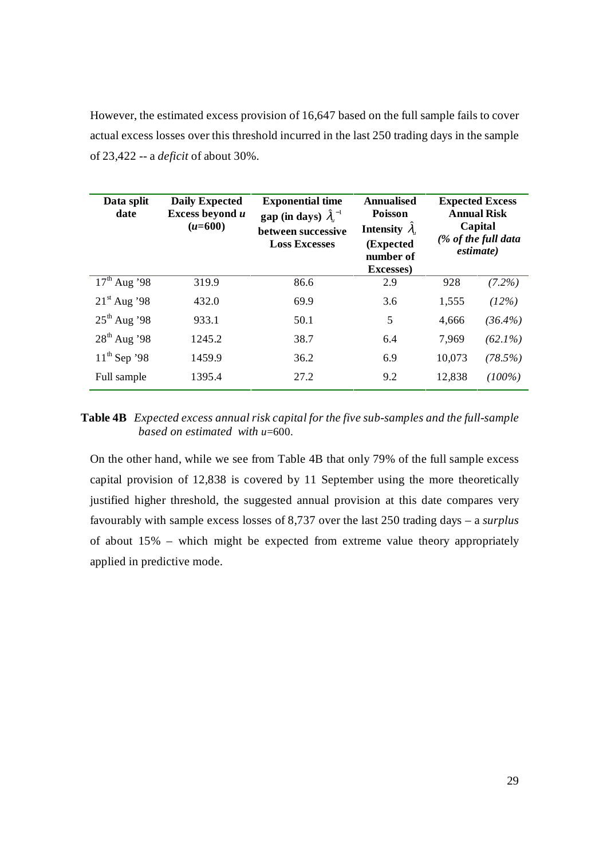However, the estimated excess provision of 16,647 based on the full sample fails to cover actual excess losses over this threshold incurred in the last 250 trading days in the sample of 23,422 -- a *deficit* of about 30%.

| Data split<br>date       | <b>Daily Expected</b><br>Excess beyond u<br>$(u=600)$ | <b>Exponential time</b><br><b>Annualised</b><br>Poisson<br>gap (in days) $\hat{\lambda}_{u}^{-1}$<br>Intensity $\hat{\lambda}_u$<br>between successive<br><b>Loss Excesses</b><br>(Expected<br>number of<br><b>Excesses</b> ) |     | <b>Expected Excess</b><br><b>Annual Risk</b><br>Capital<br>% of the full data<br><i>estimate</i> ) |            |
|--------------------------|-------------------------------------------------------|-------------------------------------------------------------------------------------------------------------------------------------------------------------------------------------------------------------------------------|-----|----------------------------------------------------------------------------------------------------|------------|
| $17^{th}$ Aug '98        | 319.9                                                 | 86.6                                                                                                                                                                                                                          | 2.9 | 928                                                                                                | $(7.2\%)$  |
| $21^{\rm st}$ Aug '98    | 432.0                                                 | 69.9                                                                                                                                                                                                                          | 3.6 | 1,555                                                                                              | (12%)      |
| $25^{\text{th}}$ Aug '98 | 933.1                                                 | 50.1                                                                                                                                                                                                                          | 5   | 4.666                                                                                              | $(36.4\%)$ |
| $28th$ Aug '98           | 1245.2                                                | 38.7                                                                                                                                                                                                                          | 6.4 | 7,969                                                                                              | $(62.1\%)$ |
| $11^{th}$ Sep '98        | 1459.9                                                | 36.2                                                                                                                                                                                                                          | 6.9 | 10,073                                                                                             | (78.5%)    |
| Full sample              | 1395.4                                                | 27.2                                                                                                                                                                                                                          | 9.2 | 12,838                                                                                             | $(100\%)$  |

# **Table 4B** *Expected excess annual risk capital for the five sub-samples and the full-sample based on estimated with u*=600.

On the other hand, while we see from Table 4B that only 79% of the full sample excess capital provision of 12,838 is covered by 11 September using the more theoretically justified higher threshold, the suggested annual provision at this date compares very favourably with sample excess losses of 8,737 over the last 250 trading days – a *surplus* of about 15% – which might be expected from extreme value theory appropriately applied in predictive mode.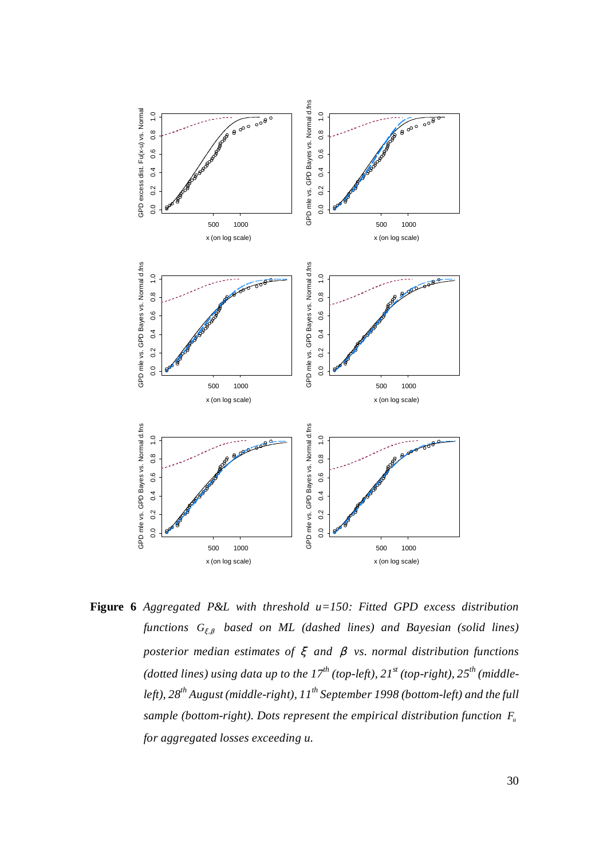

**Figure 6** *Aggregated P&L with threshold u=150: Fitted GPD excess distribution functions G*<sup>ξ</sup> ,<sup>β</sup> *based on ML (dashed lines) and Bayesian (solid lines) posterior median estimates of* ξ *and* β *vs. normal distribution functions* (dotted lines) using data up to the  $17<sup>th</sup>$  (top-left),  $21<sup>st</sup>$  (top-right),  $25<sup>th</sup>$  (middle*left), 28 th August (middle-right), 11 th September 1998 (bottom-left) and the full sample (bottom-right). Dots represent the empirical distribution function F<sup>u</sup> for aggregated losses exceeding u.*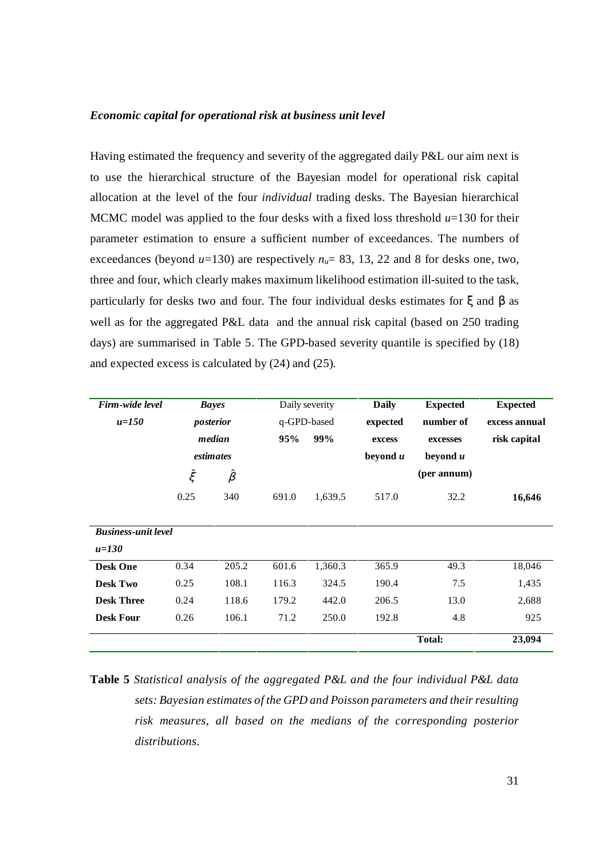### *Economic capital for operational risk at business unit level*

Having estimated the frequency and severity of the aggregated daily P&L our aim next is to use the hierarchical structure of the Bayesian model for operational risk capital allocation at the level of the four *individual* trading desks. The Bayesian hierarchical MCMC model was applied to the four desks with a fixed loss threshold  $u=130$  for their parameter estimation to ensure a sufficient number of exceedances. The numbers of exceedances (beyond  $u=130$ ) are respectively  $n_u=83$ , 13, 22 and 8 for desks one, two, three and four, which clearly makes maximum likelihood estimation ill-suited to the task, particularly for desks two and four. The four individual desks estimates for ξ and β as well as for the aggregated P&L data and the annual risk capital (based on 250 trading days) are summarised in Table 5. The GPD-based severity quantile is specified by (18) and expected excess is calculated by (24) and (25).

| Firm-wide level                       | <b>Bayes</b> |               | Daily severity |         | Daily      | <b>Expected</b> | <b>Expected</b> |
|---------------------------------------|--------------|---------------|----------------|---------|------------|-----------------|-----------------|
| $u=150$                               | posterior    |               | q-GPD-based    |         | expected   | number of       | excess annual   |
|                                       | median       |               | 95%            | 99%     | excess     | excesses        | risk capital    |
|                                       | estimates    |               |                |         | beyond $u$ | beyond u        |                 |
|                                       | $\hat{\xi}$  | $\hat{\beta}$ |                |         |            | (per annum)     |                 |
|                                       | 0.25         | 340           | 691.0          | 1,639.5 | 517.0      | 32.2            | 16,646          |
| <b>Business-unit level</b><br>$u=130$ |              |               |                |         |            |                 |                 |
| <b>Desk One</b>                       | 0.34         | 205.2         | 601.6          | 1,360.3 | 365.9      | 49.3            | 18,046          |
| <b>Desk Two</b>                       | 0.25         | 108.1         | 116.3          | 324.5   | 190.4      | 7.5             | 1,435           |
| <b>Desk Three</b>                     | 0.24         | 118.6         | 179.2          | 442.0   | 206.5      | 13.0            | 2,688           |
| <b>Desk Four</b>                      | 0.26         | 106.1         | 71.2           | 250.0   | 192.8      | 4.8             | 925             |
|                                       |              |               |                |         |            | <b>Total:</b>   | 23,094          |

**Table 5** *Statistical analysis of the aggregated P&L and the four individual P&L data sets: Bayesian estimates of the GPD and Poisson parameters and theirresulting risk measures, all based on the medians of the corresponding posterior distributions.*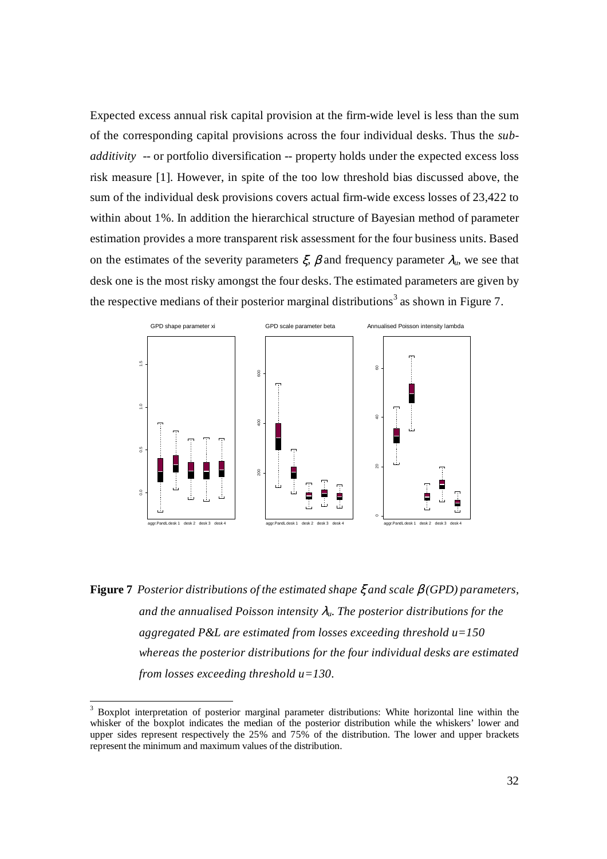Expected excess annual risk capital provision at the firm-wide level is less than the sum of the corresponding capital provisions across the four individual desks. Thus the *subadditivity* -- or portfolio diversification -- property holds under the expected excess loss risk measure [1]. However, in spite of the too low threshold bias discussed above, the sum of the individual desk provisions covers actual firm-wide excess losses of 23,422 to within about 1%. In addition the hierarchical structure of Bayesian method of parameter estimation provides a more transparent risk assessment for the four business units. Based on the estimates of the severity parameters  $\xi$ ,  $\beta$  and frequency parameter  $\lambda_u$ , we see that desk one is the most risky amongst the four desks. The estimated parameters are given by the respective medians of their posterior marginal distributions<sup>3</sup> as shown in Figure 7.





<sup>&</sup>lt;sup>3</sup> Boxplot interpretation of posterior marginal parameter distributions: White horizontal line within the whisker of the boxplot indicates the median of the posterior distribution while the whiskers' lower and upper sides represent respectively the 25% and 75% of the distribution. The lower and upper brackets represent the minimum and maximum values of the distribution.

j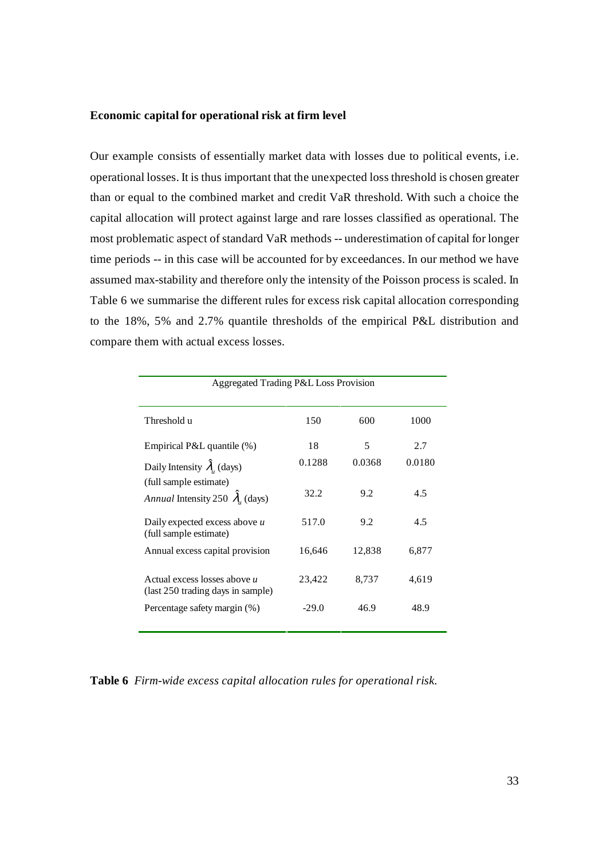### **Economic capital for operational risk at firm level**

Our example consists of essentially market data with losses due to political events, i.e. operational losses. It is thus important that the unexpected loss threshold is chosen greater than or equal to the combined market and credit VaR threshold. With such a choice the capital allocation will protect against large and rare losses classified as operational. The most problematic aspect of standard VaR methods -- underestimation of capital for longer time periods -- in this case will be accounted for by exceedances. In our method we have assumed max-stability and therefore only the intensity of the Poisson process is scaled. In Table 6 we summarise the different rules for excess risk capital allocation corresponding to the 18%, 5% and 2.7% quantile thresholds of the empirical P&L distribution and compare them with actual excess losses.

| Aggregated Trading P&L Loss Provision                                   |         |        |        |  |  |  |  |
|-------------------------------------------------------------------------|---------|--------|--------|--|--|--|--|
| Threshold u                                                             | 150     | 600    | 1000   |  |  |  |  |
| Empirical P&L quantile (%)                                              | 18      | 5      | 2.7    |  |  |  |  |
| Daily Intensity $\hat{\lambda}_{i}$ (days)                              | 0.1288  | 0.0368 | 0.0180 |  |  |  |  |
| (full sample estimate)<br>Annual Intensity 250 $\hat{\lambda}$ , (days) | 32.2    | 9.2    | 4.5    |  |  |  |  |
| Daily expected excess above $u$<br>(full sample estimate)               | 517.0   | 9.2    | 4.5    |  |  |  |  |
| Annual excess capital provision                                         | 16,646  | 12,838 | 6,877  |  |  |  |  |
| Actual excess losses above u<br>(last 250 trading days in sample)       | 23,422  | 8,737  | 4,619  |  |  |  |  |
| Percentage safety margin (%)                                            | $-29.0$ | 46.9   | 48.9   |  |  |  |  |
|                                                                         |         |        |        |  |  |  |  |

### **Table 6** *Firm-wide excess capital allocation rules for operational risk.*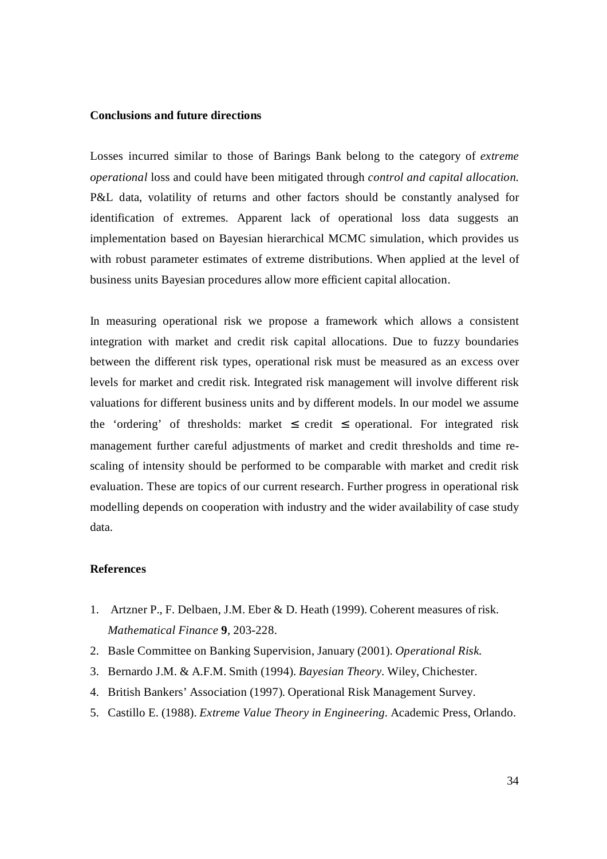### **Conclusions and future directions**

Losses incurred similar to those of Barings Bank belong to the category of *extreme operational* loss and could have been mitigated through *control and capital allocation.* P&L data, volatility of returns and other factors should be constantly analysed for identification of extremes. Apparent lack of operational loss data suggests an implementation based on Bayesian hierarchical MCMC simulation, which provides us with robust parameter estimates of extreme distributions. When applied at the level of business units Bayesian procedures allow more efficient capital allocation.

In measuring operational risk we propose a framework which allows a consistent integration with market and credit risk capital allocations. Due to fuzzy boundaries between the different risk types, operational risk must be measured as an excess over levels for market and credit risk. Integrated risk management will involve different risk valuations for different business units and by different models. In our model we assume the 'ordering' of thresholds: market  $\le$  credit  $\le$  operational. For integrated risk management further careful adjustments of market and credit thresholds and time rescaling of intensity should be performed to be comparable with market and credit risk evaluation. These are topics of our current research. Further progress in operational risk modelling depends on cooperation with industry and the wider availability of case study data.

### **References**

- 1. Artzner P., F. Delbaen, J.M. Eber & D. Heath (1999). Coherent measures of risk. *Mathematical Finance* **9***,* 203-228.
- 2. Basle Committee on Banking Supervision, January (2001). *Operational Risk.*
- 3. Bernardo J.M. & A.F.M. Smith (1994). *Bayesian Theory.* Wiley, Chichester.
- 4. British Bankers' Association (1997). Operational Risk Management Survey.
- 5. Castillo E. (1988). *Extreme Value Theory in Engineering.* Academic Press, Orlando.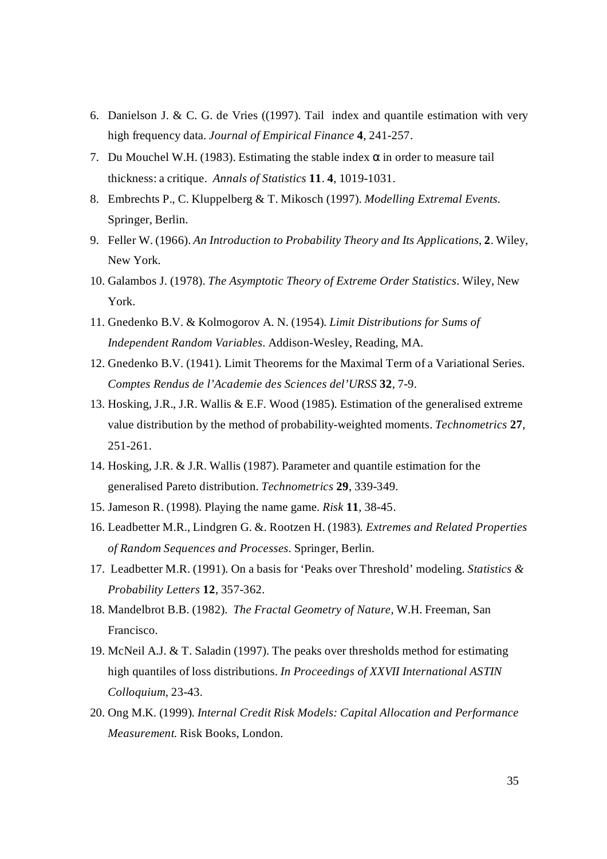- 6. Danielson J. & C. G. de Vries ((1997). Tail index and quantile estimation with very high frequency data. *Journal of Empirical Finance* **4**, 241-257.
- 7. Du Mouchel W.H. (1983). Estimating the stable index  $\alpha$  in order to measure tail thickness: a critique. *Annals of Statistics* **11**. **4**, 1019-1031.
- 8. Embrechts P., C. Kluppelberg & T. Mikosch (1997). *Modelling Extremal Events.* Springer, Berlin.
- 9. Feller W. (1966). *An Introduction to Probability Theory and Its Applications*, **2**. Wiley, New York.
- 10. Galambos J. (1978). *The Asymptotic Theory of Extreme Order Statistics*. Wiley, New York.
- 11. Gnedenko B.V. & Kolmogorov A. N. (1954). *Limit Distributions for Sums of Independent Random Variables*. Addison-Wesley, Reading, MA.
- 12. Gnedenko B.V. (1941). Limit Theorems for the Maximal Term of a Variational Series. *Comptes Rendus de l'Academie des Sciences del'URSS* **32**, 7-9.
- 13. Hosking, J.R., J.R. Wallis & E.F. Wood (1985). Estimation of the generalised extreme value distribution by the method of probability-weighted moments. *Technometrics* **27**, 251-261.
- 14. Hosking, J.R. & J.R. Wallis (1987). Parameter and quantile estimation for the generalised Pareto distribution. *Technometrics* **29**, 339-349.
- 15. Jameson R. (1998). Playing the name game. *Risk* **11**, 38-45.
- 16. Leadbetter M.R., Lindgren G. &. Rootzen H. (1983)*. Extremes and Related Properties of Random Sequences and Processes*. Springer, Berlin.
- 17. Leadbetter M.R. (1991). On a basis for 'Peaks over Threshold' modeling. *Statistics & Probability Letters* **12**, 357-362.
- 18. Mandelbrot B.B. (1982). *The Fractal Geometry of Nature,* W.H. Freeman, San Francisco.
- 19. McNeil A.J. & T. Saladin (1997). The peaks over thresholds method for estimating high quantiles of loss distributions. *In Proceedings of XXVII International ASTIN Colloquium*, 23-43.
- 20. Ong M.K. (1999). *Internal Credit Risk Models: Capital Allocation and Performance Measurement.* Risk Books, London.